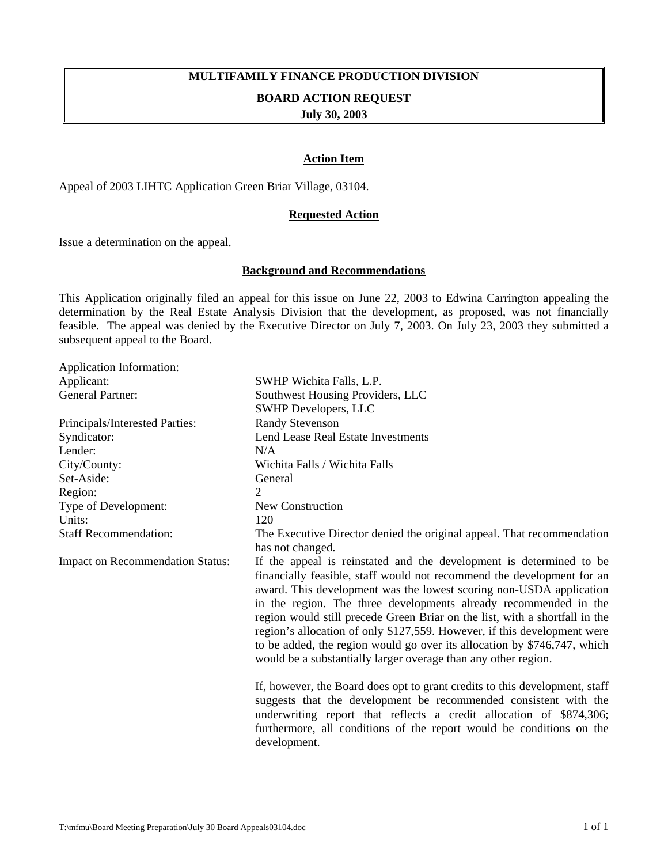## **MULTIFAMILY FINANCE PRODUCTION DIVISION**

#### **BOARD ACTION REQUEST**

**July 30, 2003** 

#### **Action Item**

Appeal of 2003 LIHTC Application Green Briar Village, 03104.

#### **Requested Action**

Issue a determination on the appeal.

#### **Background and Recommendations**

This Application originally filed an appeal for this issue on June 22, 2003 to Edwina Carrington appealing the determination by the Real Estate Analysis Division that the development, as proposed, was not financially feasible. The appeal was denied by the Executive Director on July 7, 2003. On July 23, 2003 they submitted a subsequent appeal to the Board.

| <b>Application Information:</b>         |                                                                                                                                                                                                                                                                                                                                                                                                                                                                                                                                                                                                   |
|-----------------------------------------|---------------------------------------------------------------------------------------------------------------------------------------------------------------------------------------------------------------------------------------------------------------------------------------------------------------------------------------------------------------------------------------------------------------------------------------------------------------------------------------------------------------------------------------------------------------------------------------------------|
| Applicant:                              | SWHP Wichita Falls, L.P.                                                                                                                                                                                                                                                                                                                                                                                                                                                                                                                                                                          |
| <b>General Partner:</b>                 | Southwest Housing Providers, LLC                                                                                                                                                                                                                                                                                                                                                                                                                                                                                                                                                                  |
|                                         | <b>SWHP Developers, LLC</b>                                                                                                                                                                                                                                                                                                                                                                                                                                                                                                                                                                       |
| Principals/Interested Parties:          | <b>Randy Stevenson</b>                                                                                                                                                                                                                                                                                                                                                                                                                                                                                                                                                                            |
| Syndicator:                             | Lend Lease Real Estate Investments                                                                                                                                                                                                                                                                                                                                                                                                                                                                                                                                                                |
| Lender:                                 | N/A                                                                                                                                                                                                                                                                                                                                                                                                                                                                                                                                                                                               |
| City/County:                            | Wichita Falls / Wichita Falls                                                                                                                                                                                                                                                                                                                                                                                                                                                                                                                                                                     |
| Set-Aside:                              | General                                                                                                                                                                                                                                                                                                                                                                                                                                                                                                                                                                                           |
| Region:                                 | 2                                                                                                                                                                                                                                                                                                                                                                                                                                                                                                                                                                                                 |
| Type of Development:                    | New Construction                                                                                                                                                                                                                                                                                                                                                                                                                                                                                                                                                                                  |
| Units:                                  | 120                                                                                                                                                                                                                                                                                                                                                                                                                                                                                                                                                                                               |
| <b>Staff Recommendation:</b>            | The Executive Director denied the original appeal. That recommendation                                                                                                                                                                                                                                                                                                                                                                                                                                                                                                                            |
|                                         | has not changed.                                                                                                                                                                                                                                                                                                                                                                                                                                                                                                                                                                                  |
| <b>Impact on Recommendation Status:</b> | If the appeal is reinstated and the development is determined to be<br>financially feasible, staff would not recommend the development for an<br>award. This development was the lowest scoring non-USDA application<br>in the region. The three developments already recommended in the<br>region would still precede Green Briar on the list, with a shortfall in the<br>region's allocation of only \$127,559. However, if this development were<br>to be added, the region would go over its allocation by \$746,747, which<br>would be a substantially larger overage than any other region. |
|                                         | If, however, the Board does opt to grant credits to this development, staff<br>suggests that the development be recommended consistent with the<br>underwriting report that reflects a credit allocation of \$874,306;<br>furthermore, all conditions of the report would be conditions on the<br>development.                                                                                                                                                                                                                                                                                    |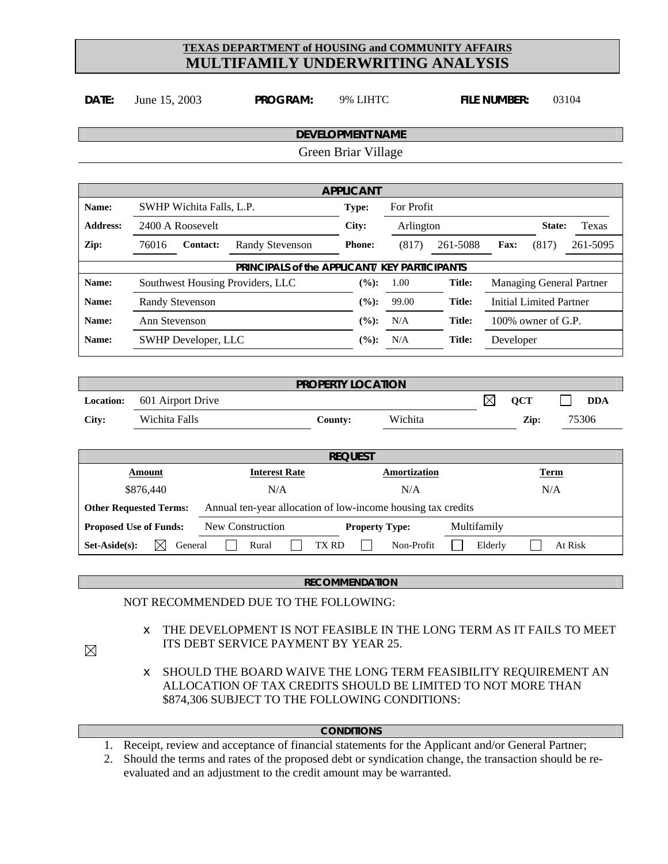**DATE:** June 15, 2003 **PROGRAM:** 9% LIHTC **FILE NUMBER:** 03104

|                               |                                  |                            |                                                                      |  | <b>DEVELOPMENT NAME</b><br>Green Briar Village |                       |              |             |                                |        |         |            |
|-------------------------------|----------------------------------|----------------------------|----------------------------------------------------------------------|--|------------------------------------------------|-----------------------|--------------|-------------|--------------------------------|--------|---------|------------|
|                               |                                  |                            |                                                                      |  |                                                |                       |              |             |                                |        |         |            |
|                               |                                  |                            |                                                                      |  | <b>APPLICANT</b>                               |                       |              |             |                                |        |         |            |
| Name:                         |                                  | SWHP Wichita Falls, L.P.   |                                                                      |  | Type:                                          |                       | For Profit   |             |                                |        |         |            |
| <b>Address:</b>               |                                  | 2400 A Roosevelt           |                                                                      |  | City:                                          |                       | Arlington    |             |                                | State: |         | Texas      |
| Zip:                          | 76016                            | Contact:                   | <b>Randy Stevenson</b>                                               |  |                                                | <b>Phone:</b>         | (817)        | 261-5088    | Fax:                           | (817)  |         | 261-5095   |
|                               |                                  |                            | PRINCIPALS of the APPLICANT/ KEY PARTICIPANTS                        |  |                                                |                       |              |             |                                |        |         |            |
| Name:                         | Southwest Housing Providers, LLC |                            |                                                                      |  | (%):                                           | 1.00                  | Title:       |             | Managing General Partner       |        |         |            |
| Name:                         | <b>Randy Stevenson</b>           |                            |                                                                      |  | $(\%):$                                        | 99.00                 | Title:       |             | <b>Initial Limited Partner</b> |        |         |            |
| Name:                         | Ann Stevenson                    |                            |                                                                      |  | $(\%):$                                        | N/A                   | Title:       |             | 100% owner of G.P.             |        |         |            |
| Name:                         |                                  | <b>SWHP Developer, LLC</b> |                                                                      |  |                                                | (%):                  | N/A          | Title:      | Developer                      |        |         |            |
|                               |                                  |                            |                                                                      |  |                                                |                       |              |             |                                |        |         |            |
|                               |                                  |                            |                                                                      |  | <b>PROPERTY LOCATION</b>                       |                       |              |             |                                |        |         |            |
| Location:                     |                                  | 601 Airport Drive          |                                                                      |  |                                                |                       |              |             | $\boxtimes$<br><b>QCT</b>      |        |         | <b>DDA</b> |
| City:                         | Wichita Falls                    |                            |                                                                      |  | County:                                        |                       | Wichita      |             |                                | Zip:   |         | 75306      |
|                               |                                  |                            |                                                                      |  | <b>REQUEST</b>                                 |                       |              |             |                                |        |         |            |
|                               | <b>Amount</b>                    |                            | <b>Interest Rate</b>                                                 |  |                                                |                       | Amortization |             |                                | Term   |         |            |
|                               | \$876,440                        |                            | N/A                                                                  |  |                                                |                       | N/A          |             |                                | N/A    |         |            |
| <b>Other Requested Terms:</b> |                                  |                            | Annual ten-year allocation of low-income housing tax credits         |  |                                                |                       |              |             |                                |        |         |            |
| <b>Proposed Use of Funds:</b> |                                  |                            | New Construction                                                     |  |                                                | <b>Property Type:</b> |              | Multifamily |                                |        |         |            |
| Set-Aside(s):                 | $\boxtimes$                      | General                    | Rural                                                                |  | <b>TX RD</b>                                   |                       | Non-Profit   |             | Elderly                        |        | At Risk |            |
|                               |                                  |                            |                                                                      |  |                                                |                       |              |             |                                |        |         |            |
|                               |                                  |                            |                                                                      |  | <b>RECOMMENDATION</b>                          |                       |              |             |                                |        |         |            |
|                               |                                  |                            | NOT RECOMMENDED DUE TO THE FOLLOWING:                                |  |                                                |                       |              |             |                                |        |         |            |
|                               | ∉                                |                            | THE DEVELOPMENT IS NOT FEASIBLE IN THE LONG TERM AS IT FAILS TO MEET |  |                                                |                       |              |             |                                |        |         |            |

- $\boxtimes$
- $\epsilon$  SHOULD THE BOARD WAIVE THE LONG TERM FEASIBILITY REQUIREMENT AN ALLOCATION OF TAX CREDITS SHOULD BE LIMITED TO NOT MORE THAN \$874,306 SUBJECT TO THE FOLLOWING CONDITIONS:

#### **CONDITIONS**

- 1. Receipt, review and acceptance of financial statements for the Applicant and/or General Partner;
- 2. Should the terms and rates of the proposed debt or syndication change, the transaction should be reevaluated and an adjustment to the credit amount may be warranted.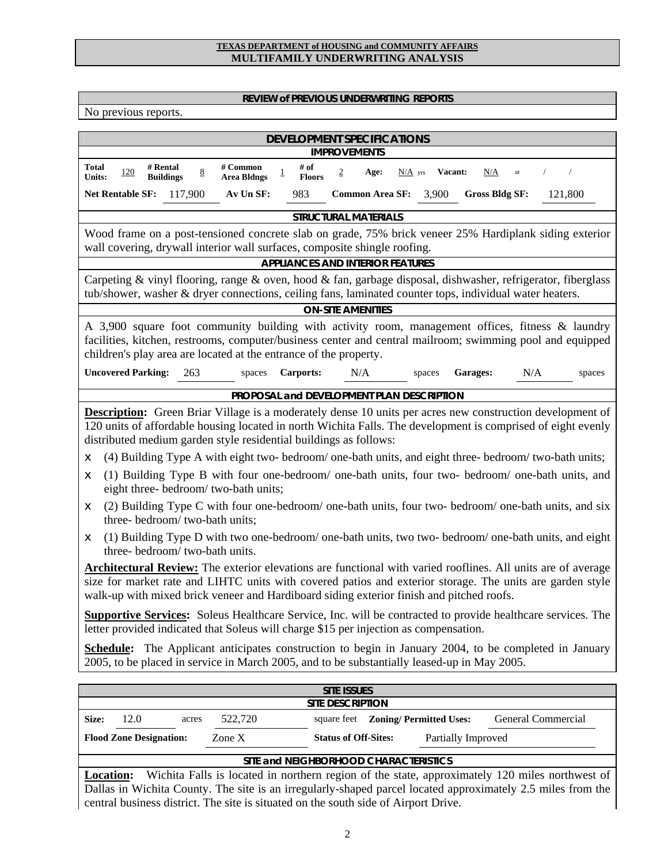#### **REVIEW of PREVIOUS UNDERWRITING REPORTS**

No previous reports.

| <b>DEVELOPMENT SPECIFICATIONS</b>                                                                                                                                                                                                                                                                                                                                                                                                                                                                                                                                                                                                                                                                                                                                                                                                                                                                                                                                                                                                                                                                                                                                                                                                                                                                                                                                                                                                                                                                                                                                                                                           |  |  |  |  |  |  |  |
|-----------------------------------------------------------------------------------------------------------------------------------------------------------------------------------------------------------------------------------------------------------------------------------------------------------------------------------------------------------------------------------------------------------------------------------------------------------------------------------------------------------------------------------------------------------------------------------------------------------------------------------------------------------------------------------------------------------------------------------------------------------------------------------------------------------------------------------------------------------------------------------------------------------------------------------------------------------------------------------------------------------------------------------------------------------------------------------------------------------------------------------------------------------------------------------------------------------------------------------------------------------------------------------------------------------------------------------------------------------------------------------------------------------------------------------------------------------------------------------------------------------------------------------------------------------------------------------------------------------------------------|--|--|--|--|--|--|--|
| <b>IMPROVEMENTS</b>                                                                                                                                                                                                                                                                                                                                                                                                                                                                                                                                                                                                                                                                                                                                                                                                                                                                                                                                                                                                                                                                                                                                                                                                                                                                                                                                                                                                                                                                                                                                                                                                         |  |  |  |  |  |  |  |
| # of<br><b>Total</b><br># Rental<br># Common<br>$\underline{8}$<br>$120\,$<br>$\overline{2}$<br><b>Vacant:</b><br>N/A<br>Age:<br>$N/A$ yrs<br>at<br>$\overline{1}$<br><b>Floors</b><br><b>Units:</b><br><b>Buildings</b><br><b>Area Bldngs</b>                                                                                                                                                                                                                                                                                                                                                                                                                                                                                                                                                                                                                                                                                                                                                                                                                                                                                                                                                                                                                                                                                                                                                                                                                                                                                                                                                                              |  |  |  |  |  |  |  |
| Net Rentable SF: 117,900<br>Av Un SF:<br>983<br>Common Area SF: 3,900<br>121,800<br><b>Gross Bldg SF:</b>                                                                                                                                                                                                                                                                                                                                                                                                                                                                                                                                                                                                                                                                                                                                                                                                                                                                                                                                                                                                                                                                                                                                                                                                                                                                                                                                                                                                                                                                                                                   |  |  |  |  |  |  |  |
| <b>STRUCTURAL MATERIALS</b>                                                                                                                                                                                                                                                                                                                                                                                                                                                                                                                                                                                                                                                                                                                                                                                                                                                                                                                                                                                                                                                                                                                                                                                                                                                                                                                                                                                                                                                                                                                                                                                                 |  |  |  |  |  |  |  |
| Wood frame on a post-tensioned concrete slab on grade, 75% brick veneer 25% Hardiplank siding exterior<br>wall covering, drywall interior wall surfaces, composite shingle roofing.                                                                                                                                                                                                                                                                                                                                                                                                                                                                                                                                                                                                                                                                                                                                                                                                                                                                                                                                                                                                                                                                                                                                                                                                                                                                                                                                                                                                                                         |  |  |  |  |  |  |  |
| <b>APPLIANCES AND INTERIOR FEATURES</b>                                                                                                                                                                                                                                                                                                                                                                                                                                                                                                                                                                                                                                                                                                                                                                                                                                                                                                                                                                                                                                                                                                                                                                                                                                                                                                                                                                                                                                                                                                                                                                                     |  |  |  |  |  |  |  |
| Carpeting & vinyl flooring, range & oven, hood & fan, garbage disposal, dishwasher, refrigerator, fiberglass<br>tub/shower, washer & dryer connections, ceiling fans, laminated counter tops, individual water heaters.                                                                                                                                                                                                                                                                                                                                                                                                                                                                                                                                                                                                                                                                                                                                                                                                                                                                                                                                                                                                                                                                                                                                                                                                                                                                                                                                                                                                     |  |  |  |  |  |  |  |
| <b>ON-SITE AMENITIES</b>                                                                                                                                                                                                                                                                                                                                                                                                                                                                                                                                                                                                                                                                                                                                                                                                                                                                                                                                                                                                                                                                                                                                                                                                                                                                                                                                                                                                                                                                                                                                                                                                    |  |  |  |  |  |  |  |
| A 3,900 square foot community building with activity room, management offices, fitness & laundry<br>facilities, kitchen, restrooms, computer/business center and central mailroom; swimming pool and equipped<br>children's play area are located at the entrance of the property.                                                                                                                                                                                                                                                                                                                                                                                                                                                                                                                                                                                                                                                                                                                                                                                                                                                                                                                                                                                                                                                                                                                                                                                                                                                                                                                                          |  |  |  |  |  |  |  |
| <b>Uncovered Parking:</b><br>263<br>N/A<br><b>Carports:</b><br>N/A<br>Garages:<br>spaces<br>spaces<br>spaces                                                                                                                                                                                                                                                                                                                                                                                                                                                                                                                                                                                                                                                                                                                                                                                                                                                                                                                                                                                                                                                                                                                                                                                                                                                                                                                                                                                                                                                                                                                |  |  |  |  |  |  |  |
| PROPOSAL and DEVELOPMENT PLAN DESCRIPTION                                                                                                                                                                                                                                                                                                                                                                                                                                                                                                                                                                                                                                                                                                                                                                                                                                                                                                                                                                                                                                                                                                                                                                                                                                                                                                                                                                                                                                                                                                                                                                                   |  |  |  |  |  |  |  |
| <b>Description:</b> Green Briar Village is a moderately dense 10 units per acres new construction development of<br>120 units of affordable housing located in north Wichita Falls. The development is comprised of eight evenly<br>distributed medium garden style residential buildings as follows:<br>(4) Building Type A with eight two- bedroom/ one-bath units, and eight three- bedroom/ two-bath units;<br>∉<br>(1) Building Type B with four one-bedroom/ one-bath units, four two- bedroom/ one-bath units, and<br>∉<br>eight three- bedroom/ two-bath units;<br>(2) Building Type C with four one-bedroom/ one-bath units, four two- bedroom/ one-bath units, and six<br>∉<br>three-bedroom/two-bath units;<br>(1) Building Type D with two one-bedroom/ one-bath units, two two-bedroom/ one-bath units, and eight<br>∉<br>three-bedroom/two-bath units.<br><b>Architectural Review:</b> The exterior elevations are functional with varied rooflines. All units are of average<br>size for market rate and LIHTC units with covered patios and exterior storage. The units are garden style<br>walk-up with mixed brick veneer and Hardiboard siding exterior finish and pitched roofs.<br>Supportive Services: Soleus Healthcare Service, Inc. will be contracted to provide healthcare services. The<br>letter provided indicated that Soleus will charge \$15 per injection as compensation.<br><b>Schedule:</b> The Applicant anticipates construction to begin in January 2004, to be completed in January<br>2005, to be placed in service in March 2005, and to be substantially leased-up in May 2005. |  |  |  |  |  |  |  |
| <b>SITE ISSUES</b>                                                                                                                                                                                                                                                                                                                                                                                                                                                                                                                                                                                                                                                                                                                                                                                                                                                                                                                                                                                                                                                                                                                                                                                                                                                                                                                                                                                                                                                                                                                                                                                                          |  |  |  |  |  |  |  |
| <b>SITE DESCRIPTION</b>                                                                                                                                                                                                                                                                                                                                                                                                                                                                                                                                                                                                                                                                                                                                                                                                                                                                                                                                                                                                                                                                                                                                                                                                                                                                                                                                                                                                                                                                                                                                                                                                     |  |  |  |  |  |  |  |
| 12.0<br>square feet Zoning/ Permitted Uses:<br>Size:<br>522,720<br>General Commercial<br>acres                                                                                                                                                                                                                                                                                                                                                                                                                                                                                                                                                                                                                                                                                                                                                                                                                                                                                                                                                                                                                                                                                                                                                                                                                                                                                                                                                                                                                                                                                                                              |  |  |  |  |  |  |  |
| <b>Flood Zone Designation:</b><br>Zone X<br><b>Status of Off-Sites:</b><br>Partially Improved                                                                                                                                                                                                                                                                                                                                                                                                                                                                                                                                                                                                                                                                                                                                                                                                                                                                                                                                                                                                                                                                                                                                                                                                                                                                                                                                                                                                                                                                                                                               |  |  |  |  |  |  |  |
| SITE and NEIGHBORHOOD CHARACTERISTICS                                                                                                                                                                                                                                                                                                                                                                                                                                                                                                                                                                                                                                                                                                                                                                                                                                                                                                                                                                                                                                                                                                                                                                                                                                                                                                                                                                                                                                                                                                                                                                                       |  |  |  |  |  |  |  |
| Wichita Falls is located in northern region of the state, approximately 120 miles northwest of<br><b>Location:</b>                                                                                                                                                                                                                                                                                                                                                                                                                                                                                                                                                                                                                                                                                                                                                                                                                                                                                                                                                                                                                                                                                                                                                                                                                                                                                                                                                                                                                                                                                                          |  |  |  |  |  |  |  |
| Dallas in Wichita County. The site is an irregularly-shaped parcel located approximately 2.5 miles from the<br>central business district. The site is situated on the south side of Airport Drive.                                                                                                                                                                                                                                                                                                                                                                                                                                                                                                                                                                                                                                                                                                                                                                                                                                                                                                                                                                                                                                                                                                                                                                                                                                                                                                                                                                                                                          |  |  |  |  |  |  |  |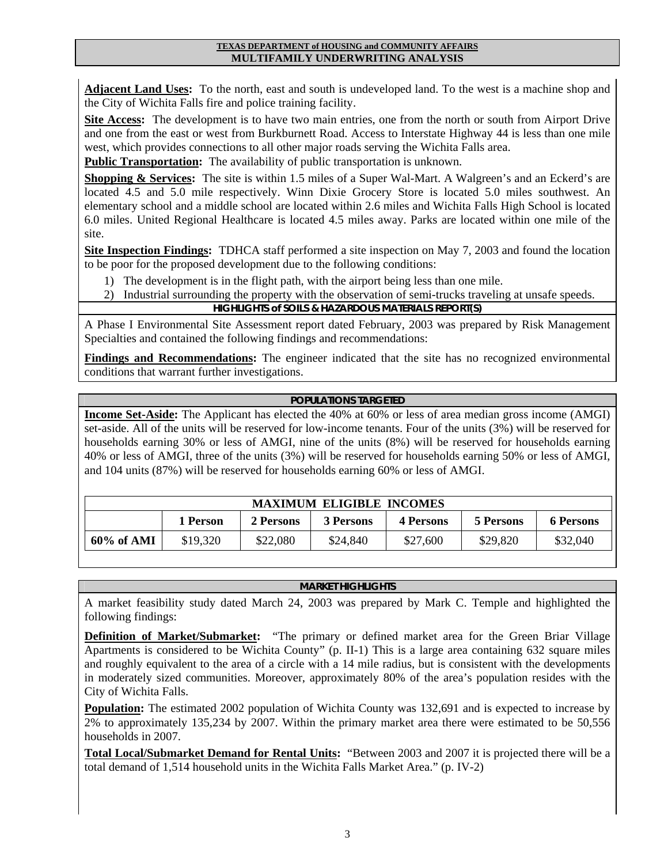**Adjacent Land Uses:** To the north, east and south is undeveloped land. To the west is a machine shop and the City of Wichita Falls fire and police training facility.

**Site Access:** The development is to have two main entries, one from the north or south from Airport Drive and one from the east or west from Burkburnett Road. Access to Interstate Highway 44 is less than one mile west, which provides connections to all other major roads serving the Wichita Falls area.

**Public Transportation:** The availability of public transportation is unknown.

**Shopping & Services:** The site is within 1.5 miles of a Super Wal-Mart. A Walgreen's and an Eckerd's are located 4.5 and 5.0 mile respectively. Winn Dixie Grocery Store is located 5.0 miles southwest. An elementary school and a middle school are located within 2.6 miles and Wichita Falls High School is located 6.0 miles. United Regional Healthcare is located 4.5 miles away. Parks are located within one mile of the site.

**Site Inspection Findings:** TDHCA staff performed a site inspection on May 7, 2003 and found the location to be poor for the proposed development due to the following conditions:

- 1) The development is in the flight path, with the airport being less than one mile.
- 2) Industrial surrounding the property with the observation of semi-trucks traveling at unsafe speeds.

#### **HIGHLIGHTS of SOILS & HAZARDOUS MATERIALS REPORT(S)**

A Phase I Environmental Site Assessment report dated February, 2003 was prepared by Risk Management Specialties and contained the following findings and recommendations:

**Findings and Recommendations:** The engineer indicated that the site has no recognized environmental conditions that warrant further investigations.

#### **POPULATIONS TARGETED**

**Income Set-Aside:** The Applicant has elected the 40% at 60% or less of area median gross income (AMGI) set-aside. All of the units will be reserved for low-income tenants. Four of the units (3%) will be reserved for households earning 30% or less of AMGI, nine of the units (8%) will be reserved for households earning 40% or less of AMGI, three of the units (3%) will be reserved for households earning 50% or less of AMGI, and 104 units (87%) will be reserved for households earning 60% or less of AMGI.

| <b>MAXIMUM ELIGIBLE INCOMES</b> |          |           |                  |                  |           |           |  |  |  |
|---------------------------------|----------|-----------|------------------|------------------|-----------|-----------|--|--|--|
|                                 | 1 Person | 2 Persons | <b>3 Persons</b> | <b>4 Persons</b> | 5 Persons | 6 Persons |  |  |  |
| 60% of AMI                      | \$19,320 | \$22,080  | \$24,840         | \$27,600         | \$29,820  | \$32,040  |  |  |  |

#### **MARKET HIGHLIGHTS**

A market feasibility study dated March 24, 2003 was prepared by Mark C. Temple and highlighted the following findings:

**Definition of Market/Submarket:** "The primary or defined market area for the Green Briar Village Apartments is considered to be Wichita County" (p. II-1) This is a large area containing 632 square miles and roughly equivalent to the area of a circle with a 14 mile radius, but is consistent with the developments in moderately sized communities. Moreover, approximately 80% of the area's population resides with the City of Wichita Falls.

**Population:** The estimated 2002 population of Wichita County was 132,691 and is expected to increase by 2% to approximately 135,234 by 2007. Within the primary market area there were estimated to be 50,556 households in 2007.

**Total Local/Submarket Demand for Rental Units:** "Between 2003 and 2007 it is projected there will be a total demand of 1,514 household units in the Wichita Falls Market Area." (p. IV-2)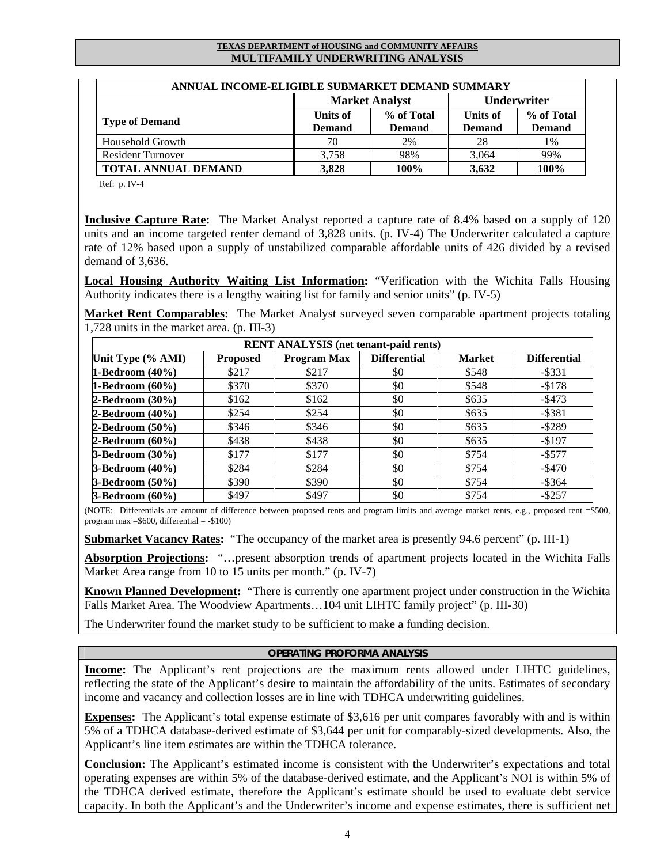| ANNUAL INCOME-ELIGIBLE SUBMARKET DEMAND SUMMARY |                 |                       |                    |               |  |  |  |  |
|-------------------------------------------------|-----------------|-----------------------|--------------------|---------------|--|--|--|--|
|                                                 |                 | <b>Market Analyst</b> | <b>Underwriter</b> |               |  |  |  |  |
|                                                 | <b>Units of</b> | % of Total            | Units of           | % of Total    |  |  |  |  |
| <b>Type of Demand</b>                           | <b>Demand</b>   | <b>Demand</b>         | <b>Demand</b>      | <b>Demand</b> |  |  |  |  |
| Household Growth                                | 70              | 2%                    | 28                 | 1%            |  |  |  |  |
| <b>Resident Turnover</b>                        | 3,758           | 98%                   | 3,064              | 99%           |  |  |  |  |
| <b>TOTAL ANNUAL DEMAND</b>                      | 3,828           | 100%                  | 3,632              | 100%          |  |  |  |  |

Ref: p. IV-4

**Inclusive Capture Rate:** The Market Analyst reported a capture rate of 8.4% based on a supply of 120 units and an income targeted renter demand of 3,828 units. (p. IV-4) The Underwriter calculated a capture rate of 12% based upon a supply of unstabilized comparable affordable units of 426 divided by a revised demand of 3,636.

**Local Housing Authority Waiting List Information:** "Verification with the Wichita Falls Housing Authority indicates there is a lengthy waiting list for family and senior units" (p. IV-5)

**Market Rent Comparables:** The Market Analyst surveyed seven comparable apartment projects totaling 1,728 units in the market area. (p. III-3)

|                        |                 | <b>RENT ANALYSIS</b> (net tenant-paid rents) |                     |               |                     |
|------------------------|-----------------|----------------------------------------------|---------------------|---------------|---------------------|
| Unit Type (% AMI)      | <b>Proposed</b> | <b>Program Max</b>                           | <b>Differential</b> | <b>Market</b> | <b>Differential</b> |
| 1-Bedroom $(40\%)$     | \$217           | \$217                                        | \$0                 | \$548         | $-$ \$331           |
| 1-Bedroom $(60\%)$     | \$370           | \$370                                        | \$0                 | \$548         | $-$178$             |
| $2-Bedroom(30%)$       | \$162           | \$162                                        | \$0                 | \$635         | $-$ \$473           |
| $2-Bedroom(40%)$       | \$254           | \$254                                        | \$0                 | \$635         | $-$ \$381           |
| $2-Bedroom(50%)$       | \$346           | \$346                                        | \$0                 | \$635         | $-$ \$289           |
| $2-Bedroom(60%)$       | \$438           | \$438                                        | \$0                 | \$635         | $-$ \$197           |
| <b>3-Bedroom</b> (30%) | \$177           | \$177                                        | \$0                 | \$754         | $-$ \$577           |
| <b>3-Bedroom</b> (40%) | \$284           | \$284                                        | \$0                 | \$754         | $-$ \$470           |
| 3-Bedroom (50%)        | \$390           | \$390                                        | \$0                 | \$754         | $-$ \$364           |
| $3-Bedroom(60%)$       | \$497           | \$497                                        | \$0                 | \$754         | $-$ \$257           |

(NOTE: Differentials are amount of difference between proposed rents and program limits and average market rents, e.g., proposed rent =\$500, program max  $=$  \$600, differential  $=$  -\$100)

**Submarket Vacancy Rates:** "The occupancy of the market area is presently 94.6 percent" (p. III-1)

**Absorption Projections:** "…present absorption trends of apartment projects located in the Wichita Falls Market Area range from 10 to 15 units per month." (p. IV-7)

**Known Planned Development:** "There is currently one apartment project under construction in the Wichita Falls Market Area. The Woodview Apartments…104 unit LIHTC family project" (p. III-30)

The Underwriter found the market study to be sufficient to make a funding decision.

#### **OPERATING PROFORMA ANALYSIS**

**Income:** The Applicant's rent projections are the maximum rents allowed under LIHTC guidelines, reflecting the state of the Applicant's desire to maintain the affordability of the units. Estimates of secondary income and vacancy and collection losses are in line with TDHCA underwriting guidelines.

**Expenses:** The Applicant's total expense estimate of \$3,616 per unit compares favorably with and is within 5% of a TDHCA database-derived estimate of \$3,644 per unit for comparably-sized developments. Also, the Applicant's line item estimates are within the TDHCA tolerance.

**Conclusion:** The Applicant's estimated income is consistent with the Underwriter's expectations and total operating expenses are within 5% of the database-derived estimate, and the Applicant's NOI is within 5% of the TDHCA derived estimate, therefore the Applicant's estimate should be used to evaluate debt service capacity. In both the Applicant's and the Underwriter's income and expense estimates, there is sufficient net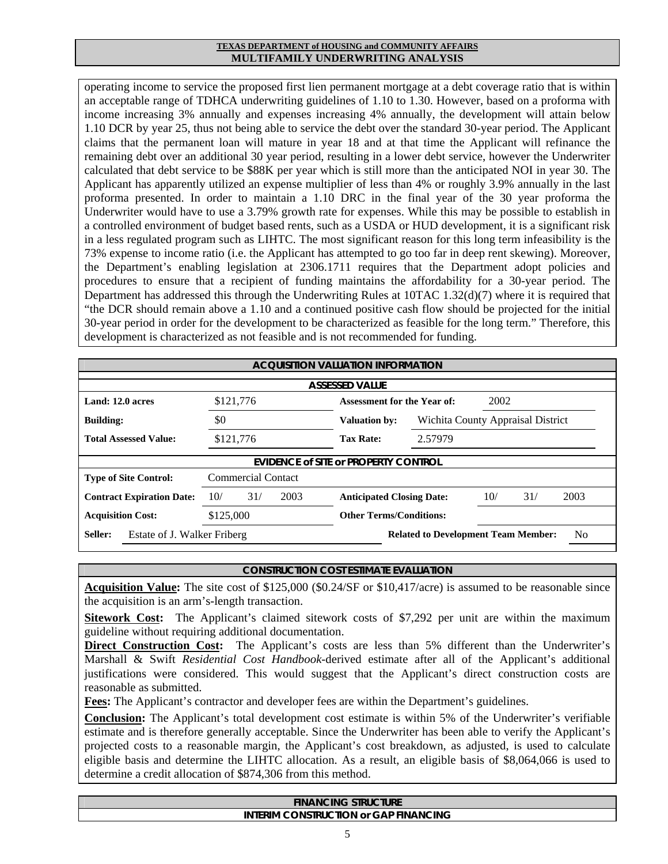operating income to service the proposed first lien permanent mortgage at a debt coverage ratio that is within an acceptable range of TDHCA underwriting guidelines of 1.10 to 1.30. However, based on a proforma with income increasing 3% annually and expenses increasing 4% annually, the development will attain below 1.10 DCR by year 25, thus not being able to service the debt over the standard 30-year period. The Applicant claims that the permanent loan will mature in year 18 and at that time the Applicant will refinance the remaining debt over an additional 30 year period, resulting in a lower debt service, however the Underwriter calculated that debt service to be \$88K per year which is still more than the anticipated NOI in year 30. The Applicant has apparently utilized an expense multiplier of less than 4% or roughly 3.9% annually in the last proforma presented. In order to maintain a 1.10 DRC in the final year of the 30 year proforma the Underwriter would have to use a 3.79% growth rate for expenses. While this may be possible to establish in a controlled environment of budget based rents, such as a USDA or HUD development, it is a significant risk in a less regulated program such as LIHTC. The most significant reason for this long term infeasibility is the 73% expense to income ratio (i.e. the Applicant has attempted to go too far in deep rent skewing). Moreover, the Department's enabling legislation at 2306.1711 requires that the Department adopt policies and procedures to ensure that a recipient of funding maintains the affordability for a 30-year period. The Department has addressed this through the Underwriting Rules at 10TAC 1.32(d)(7) where it is required that "the DCR should remain above a 1.10 and a continued positive cash flow should be projected for the initial 30-year period in order for the development to be characterized as feasible for the long term." Therefore, this development is characterized as not feasible and is not recommended for funding.

|                                                                      | <b>ACQUISITION VALUATION INFORMATION</b> |      |                                             |                                                              |     |                                   |      |  |  |  |
|----------------------------------------------------------------------|------------------------------------------|------|---------------------------------------------|--------------------------------------------------------------|-----|-----------------------------------|------|--|--|--|
|                                                                      | <b>ASSESSED VALUE</b>                    |      |                                             |                                                              |     |                                   |      |  |  |  |
| 2002<br>Land: 12.0 acres<br>\$121,776<br>Assessment for the Year of: |                                          |      |                                             |                                                              |     |                                   |      |  |  |  |
| <b>Building:</b>                                                     | \$0                                      |      | <b>Valuation by:</b>                        |                                                              |     | Wichita County Appraisal District |      |  |  |  |
| <b>Total Assessed Value:</b>                                         | \$121,776                                |      | <b>Tax Rate:</b>                            | 2.57979                                                      |     |                                   |      |  |  |  |
|                                                                      |                                          |      | <b>EVIDENCE of SITE or PROPERTY CONTROL</b> |                                                              |     |                                   |      |  |  |  |
| <b>Type of Site Control:</b>                                         | <b>Commercial Contact</b>                |      |                                             |                                                              |     |                                   |      |  |  |  |
| <b>Contract Expiration Date:</b>                                     | 10/<br>31/                               | 2003 | <b>Anticipated Closing Date:</b>            |                                                              | 10/ | 31/                               | 2003 |  |  |  |
| <b>Acquisition Cost:</b>                                             | \$125,000                                |      | <b>Other Terms/Conditions:</b>              |                                                              |     |                                   |      |  |  |  |
| Seller:                                                              | Estate of J. Walker Friberg              |      |                                             | N <sub>0</sub><br><b>Related to Development Team Member:</b> |     |                                   |      |  |  |  |

#### **CONSTRUCTION COST ESTIMATE EVALUATION**

**Acquisition Value:** The site cost of \$125,000 (\$0.24/SF or \$10,417/acre) is assumed to be reasonable since the acquisition is an arm's-length transaction.

**Sitework Cost:** The Applicant's claimed sitework costs of \$7,292 per unit are within the maximum guideline without requiring additional documentation.

**Direct Construction Cost:** The Applicant's costs are less than 5% different than the Underwriter's Marshall & Swift *Residential Cost Handbook*-derived estimate after all of the Applicant's additional justifications were considered. This would suggest that the Applicant's direct construction costs are reasonable as submitted.

**Fees:** The Applicant's contractor and developer fees are within the Department's guidelines.

**Conclusion:** The Applicant's total development cost estimate is within 5% of the Underwriter's verifiable estimate and is therefore generally acceptable. Since the Underwriter has been able to verify the Applicant's projected costs to a reasonable margin, the Applicant's cost breakdown, as adjusted, is used to calculate eligible basis and determine the LIHTC allocation. As a result, an eligible basis of \$8,064,066 is used to determine a credit allocation of \$874,306 from this method.

| <b>STRUCTURE</b><br><b>ANCING</b>                   |
|-----------------------------------------------------|
| <b>GAP FINANCING</b><br>INTFRIM<br>ONSTRUCTION or G |
|                                                     |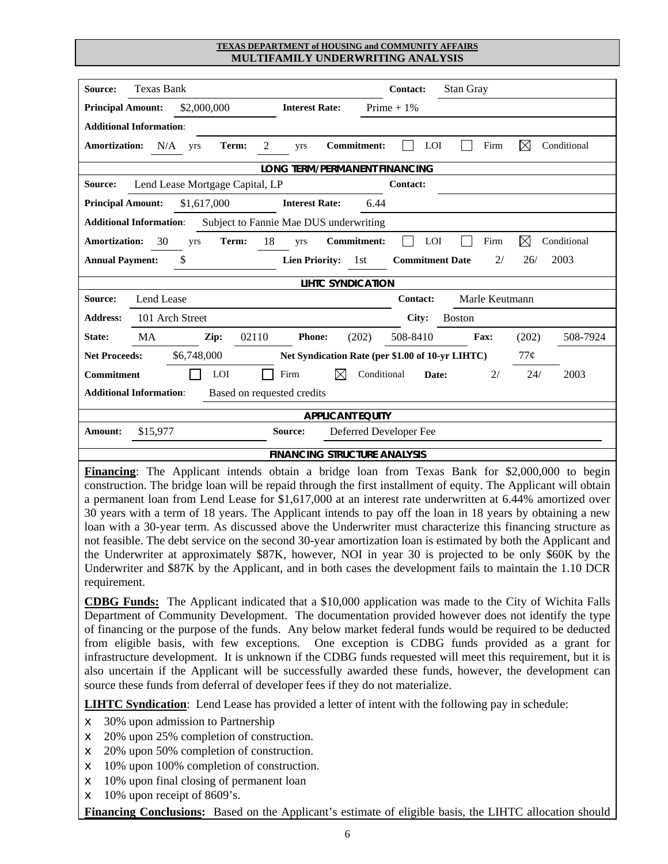| Source:<br><b>Texas Bank</b><br>Stan Gray<br><b>Contact:</b>                                                                                                                                                                                                                                                                                                                                                                                                                                                                                                                                                                                                                                                                                                                        |  |  |  |  |  |  |  |  |
|-------------------------------------------------------------------------------------------------------------------------------------------------------------------------------------------------------------------------------------------------------------------------------------------------------------------------------------------------------------------------------------------------------------------------------------------------------------------------------------------------------------------------------------------------------------------------------------------------------------------------------------------------------------------------------------------------------------------------------------------------------------------------------------|--|--|--|--|--|--|--|--|
| Prime $+1\%$<br>\$2,000,000<br><b>Principal Amount:</b><br><b>Interest Rate:</b>                                                                                                                                                                                                                                                                                                                                                                                                                                                                                                                                                                                                                                                                                                    |  |  |  |  |  |  |  |  |
| <b>Additional Information:</b>                                                                                                                                                                                                                                                                                                                                                                                                                                                                                                                                                                                                                                                                                                                                                      |  |  |  |  |  |  |  |  |
| <b>Commitment:</b><br>LOI<br>$\boxtimes$<br>Conditional<br><b>Amortization:</b><br>N/A<br>$\overline{2}$<br>Firm<br>Term:<br>yrs<br>yrs                                                                                                                                                                                                                                                                                                                                                                                                                                                                                                                                                                                                                                             |  |  |  |  |  |  |  |  |
| LONG TERM/PERMANENT FINANCING                                                                                                                                                                                                                                                                                                                                                                                                                                                                                                                                                                                                                                                                                                                                                       |  |  |  |  |  |  |  |  |
| Lend Lease Mortgage Capital, LP<br>Source:<br>Contact:                                                                                                                                                                                                                                                                                                                                                                                                                                                                                                                                                                                                                                                                                                                              |  |  |  |  |  |  |  |  |
| 6.44<br><b>Principal Amount:</b><br>\$1,617,000<br><b>Interest Rate:</b>                                                                                                                                                                                                                                                                                                                                                                                                                                                                                                                                                                                                                                                                                                            |  |  |  |  |  |  |  |  |
| <b>Additional Information:</b><br>Subject to Fannie Mae DUS underwriting                                                                                                                                                                                                                                                                                                                                                                                                                                                                                                                                                                                                                                                                                                            |  |  |  |  |  |  |  |  |
| $\boxtimes$<br>18<br>LOI<br>Firm<br>Conditional<br>30<br>Term:<br><b>Commitment:</b><br><b>Amortization:</b><br>yrs<br>yrs                                                                                                                                                                                                                                                                                                                                                                                                                                                                                                                                                                                                                                                          |  |  |  |  |  |  |  |  |
| 2003<br><b>Annual Payment:</b><br>\$<br><b>Lien Priority:</b><br>1st<br><b>Commitment Date</b><br>2/<br>26/                                                                                                                                                                                                                                                                                                                                                                                                                                                                                                                                                                                                                                                                         |  |  |  |  |  |  |  |  |
| <b>LIHTC SYNDICATION</b>                                                                                                                                                                                                                                                                                                                                                                                                                                                                                                                                                                                                                                                                                                                                                            |  |  |  |  |  |  |  |  |
| Marle Keutmann<br>Source:<br>Lend Lease<br>Contact:                                                                                                                                                                                                                                                                                                                                                                                                                                                                                                                                                                                                                                                                                                                                 |  |  |  |  |  |  |  |  |
| 101 Arch Street<br><b>Address:</b><br>City:<br><b>Boston</b>                                                                                                                                                                                                                                                                                                                                                                                                                                                                                                                                                                                                                                                                                                                        |  |  |  |  |  |  |  |  |
| 508-8410<br>MA<br>02110<br><b>Phone:</b><br>(202)<br>(202)<br>508-7924<br>State:<br>Zip:<br>Fax:                                                                                                                                                                                                                                                                                                                                                                                                                                                                                                                                                                                                                                                                                    |  |  |  |  |  |  |  |  |
| \$6,748,000<br><b>Net Proceeds:</b><br>Net Syndication Rate (per \$1.00 of 10-yr LIHTC)<br>77¢                                                                                                                                                                                                                                                                                                                                                                                                                                                                                                                                                                                                                                                                                      |  |  |  |  |  |  |  |  |
| LOI<br>Firm<br>⊠<br>Conditional<br>24/<br>2003<br><b>Commitment</b><br>Date:<br>2/                                                                                                                                                                                                                                                                                                                                                                                                                                                                                                                                                                                                                                                                                                  |  |  |  |  |  |  |  |  |
| Based on requested credits<br><b>Additional Information:</b>                                                                                                                                                                                                                                                                                                                                                                                                                                                                                                                                                                                                                                                                                                                        |  |  |  |  |  |  |  |  |
| <b>APPLICANT EQUITY</b>                                                                                                                                                                                                                                                                                                                                                                                                                                                                                                                                                                                                                                                                                                                                                             |  |  |  |  |  |  |  |  |
| Deferred Developer Fee<br>\$15,977<br>Amount:<br>Source:                                                                                                                                                                                                                                                                                                                                                                                                                                                                                                                                                                                                                                                                                                                            |  |  |  |  |  |  |  |  |
| <b>FINANCING STRUCTURE ANALYSIS</b>                                                                                                                                                                                                                                                                                                                                                                                                                                                                                                                                                                                                                                                                                                                                                 |  |  |  |  |  |  |  |  |
| Financing: The Applicant intends obtain a bridge loan from Texas Bank for \$2,000,000 to begin<br>construction. The bridge loan will be repaid through the first installment of equity. The Applicant will obtain<br>a permanent loan from Lend Lease for \$1,617,000 at an interest rate underwritten at 6.44% amortized over<br>30 years with a term of 18 years. The Applicant intends to pay off the loan in 18 years by obtaining a new<br>loan with a 30-year term. As discussed above the Underwriter must characterize this financing structure as<br>not feasible. The debt service on the second 30-year amortization loan is estimated by both the Applicant and<br>the Underwriter at approximately \$87K, however, NOI in year 30 is projected to be only \$60K by the |  |  |  |  |  |  |  |  |

**CDBG Funds:** The Applicant indicated that a \$10,000 application was made to the City of Wichita Falls Department of Community Development. The documentation provided however does not identify the type of financing or the purpose of the funds. Any below market federal funds would be required to be deducted from eligible basis, with few exceptions. One exception is CDBG funds provided as a grant for infrastructure development. It is unknown if the CDBG funds requested will meet this requirement, but it is also uncertain if the Applicant will be successfully awarded these funds, however, the development can source these funds from deferral of developer fees if they do not materialize.

Underwriter and \$87K by the Applicant, and in both cases the development fails to maintain the 1.10 DCR

**LIHTC Syndication**: Lend Lease has provided a letter of intent with the following pay in schedule:

- $\leq$  30% upon admission to Partnership
- $\epsilon$  20% upon 25% completion of construction.
- $\epsilon$  20% upon 50% completion of construction.
- $\leq$  10% upon 100% completion of construction.
- $\leq$  10% upon final closing of permanent loan
- $\epsilon$  10% upon receipt of 8609's.

requirement.

**Financing Conclusions:** Based on the Applicant's estimate of eligible basis, the LIHTC allocation should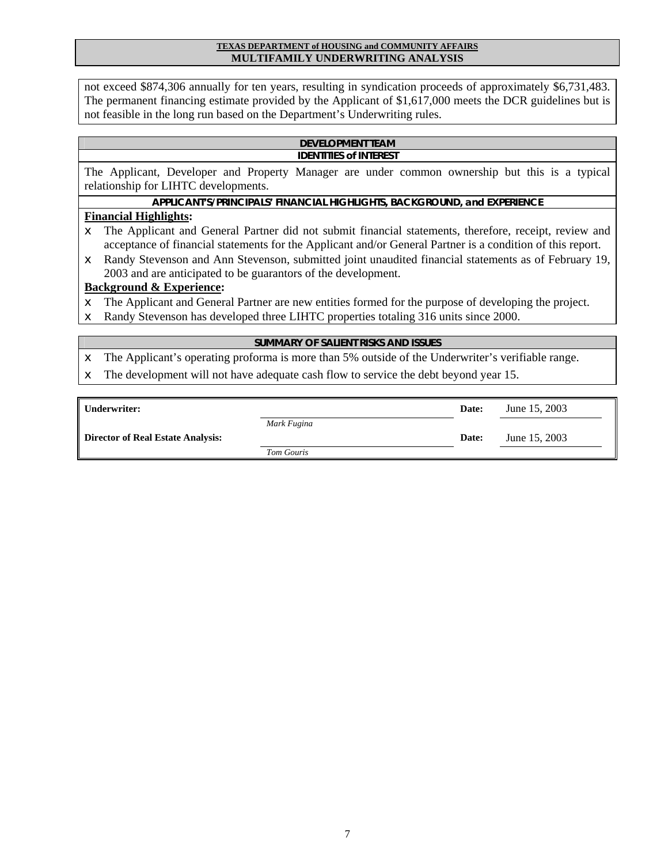not exceed \$874,306 annually for ten years, resulting in syndication proceeds of approximately \$6,731,483. The permanent financing estimate provided by the Applicant of \$1,617,000 meets the DCR guidelines but is not feasible in the long run based on the Department's Underwriting rules.

#### **DEVELOPMENT TEAM IDENTITIES of INTEREST**

The Applicant, Developer and Property Manager are under common ownership but this is a typical relationship for LIHTC developments.

### **APPLICANT'S/PRINCIPALS' FINANCIAL HIGHLIGHTS, BACKGROUND, and EXPERIENCE**

### **Financial Highlights:**

- $\epsilon$  The Applicant and General Partner did not submit financial statements, therefore, receipt, review and acceptance of financial statements for the Applicant and/or General Partner is a condition of this report.
- $\epsilon$  Randy Stevenson and Ann Stevenson, submitted joint unaudited financial statements as of February 19, 2003 and are anticipated to be guarantors of the development.

#### **Background & Experience:**

- $\epsilon$  The Applicant and General Partner are new entities formed for the purpose of developing the project.
- $\epsilon$  Randy Stevenson has developed three LIHTC properties totaling 316 units since 2000.

#### **SUMMARY OF SALIENT RISKS AND ISSUES**

- $\epsilon$  The Applicant's operating proforma is more than 5% outside of the Underwriter's verifiable range.
- $\epsilon$  The development will not have adequate cash flow to service the debt beyond year 15.

| Underwriter:                             |             | Date: | June 15, 2003 |
|------------------------------------------|-------------|-------|---------------|
|                                          | Mark Fugina |       |               |
| <b>Director of Real Estate Analysis:</b> |             | Date: | June 15, 2003 |
|                                          | Tom Gouris  |       |               |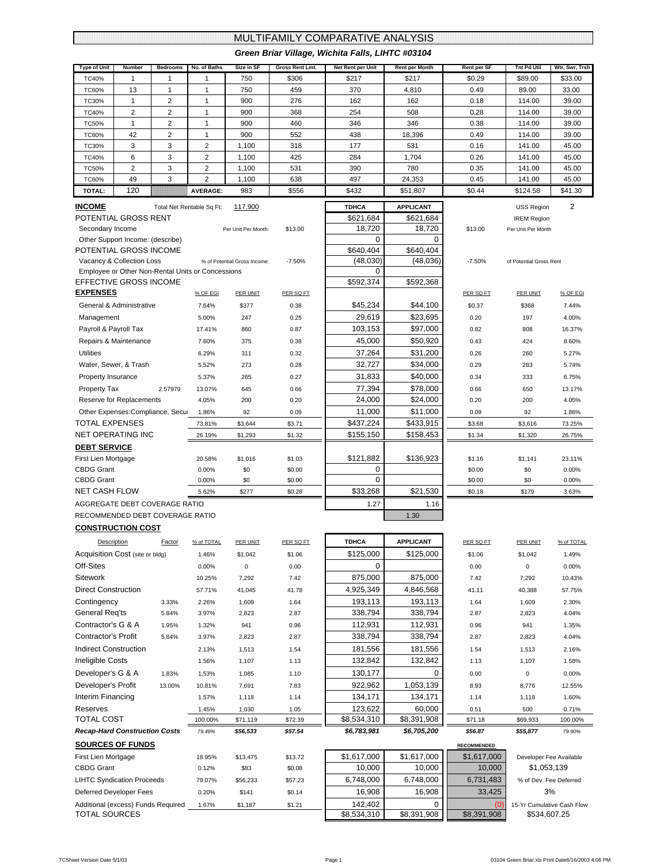# MULTIFAMILY COMPARATIVE ANALYSIS

|                                  |              |                                                   |                 |                              |                 | MULTIFAMILY COMPARATIVE ANALYSIS<br>Green Briar Village, Wichita Falls, LIHTC #03104 |                                |                              |                         |                           |  |
|----------------------------------|--------------|---------------------------------------------------|-----------------|------------------------------|-----------------|--------------------------------------------------------------------------------------|--------------------------------|------------------------------|-------------------------|---------------------------|--|
|                                  | Number       | <b>Bedrooms</b>                                   | No. of Baths    | Size in SF                   | Gross Rent Lmt. | Net Rent per Unit                                                                    |                                |                              | <b>Tnt Pd Util</b>      |                           |  |
| Type of Unit<br>TC40%            | 1            | 1                                                 | 1               | 750                          | \$306           | \$217                                                                                | <b>Rent per Month</b><br>\$217 | <b>Rent per SF</b><br>\$0.29 | \$89.00                 | Wtr, Swr, Trsh<br>\$33.00 |  |
| TC60%                            | 13           | 1                                                 | 1               | 750                          | 459             | 370                                                                                  | 4,810                          | 0.49                         | 89.00                   | 33.00                     |  |
| TC30%                            | $\mathbf{1}$ | $\overline{2}$                                    | $\mathbf{1}$    | 900                          | 276             | 162                                                                                  | 162                            | 0.18                         | 114.00                  | 39.00                     |  |
| TC40%                            | 2            | $\overline{2}$                                    | 1               | 900                          | 368             | 254                                                                                  | 508                            | 0.28                         | 114.00                  | 39.00                     |  |
| <b>TC50%</b>                     | $\mathbf{1}$ | $\overline{2}$                                    | 1               | 900                          | 460             | 346                                                                                  | 346                            | 0.38                         | 114.00                  | 39.00                     |  |
| TC60%                            | 42           | $\overline{2}$                                    | $\mathbf{1}$    | 900                          | 552             | 438                                                                                  | 18,396                         | 0.49                         | 114.00                  | 39.00                     |  |
| TC30%                            | 3            | 3                                                 | $\overline{2}$  | 1,100                        | 318             | 177                                                                                  | 531                            | 0.16                         | 141.00                  | 45.00                     |  |
| TC40%                            | 6            | 3                                                 | 2               | 1,100                        | 425             | 284                                                                                  | 1,704                          | 0.26                         | 141.00                  | 45.00                     |  |
| <b>TC50%</b>                     | 2            | 3                                                 | $\overline{2}$  | 1,100                        | 531             | 390                                                                                  | 780                            | 0.35                         | 141.00                  | 45.00                     |  |
| TC60%                            | 49           | 3                                                 | $\overline{2}$  | 1,100                        | 638             | 497                                                                                  | 24,353                         | 0.45                         | 141.00                  | 45.00                     |  |
| <b>TOTAL:</b>                    | 120          |                                                   | <b>AVERAGE:</b> | 983                          | \$556           | \$432                                                                                | \$51,807                       | \$0.44                       | \$124.58                | \$41.30                   |  |
| <u>INCOME</u>                    |              | Total Net Rentable Sq Ft:                         |                 | 117,900                      |                 | <b>TDHCA</b>                                                                         | <b>APPLICANT</b>               |                              | <b>USS Region</b>       | 2                         |  |
| POTENTIAL GROSS RENT             |              |                                                   |                 |                              |                 | \$621,684                                                                            | \$621,684                      |                              | <b>IREM Region</b>      |                           |  |
| Secondary Income                 |              |                                                   |                 | Per Unit Per Month:          | \$13.00         | 18,720                                                                               | 18,720                         | \$13.00                      | Per Unit Per Month      |                           |  |
| Other Support Income: (describe) |              |                                                   |                 |                              |                 | 0                                                                                    | 0                              |                              |                         |                           |  |
| POTENTIAL GROSS INCOME           |              |                                                   |                 |                              |                 | \$640,404                                                                            | \$640.404                      |                              |                         |                           |  |
| Vacancy & Collection Loss        |              |                                                   |                 | % of Potential Gross Income: | $-7.50%$        | (48,030)                                                                             | (48,036)                       | $-7.50%$                     | of Potential Gross Rent |                           |  |
|                                  |              | Employee or Other Non-Rental Units or Concessions |                 |                              |                 | 0                                                                                    |                                |                              |                         |                           |  |
| EFFECTIVE GROSS INCOME           |              |                                                   |                 |                              |                 | \$592,374                                                                            | \$592,368                      |                              |                         |                           |  |
| <b>EXPENSES</b>                  |              |                                                   | % OF EGI        | PER UNIT                     | PER SQ FT       |                                                                                      |                                | PER SQ FT                    | <b>PER UNIT</b>         | % OF EGI                  |  |
| General & Administrative         |              |                                                   | 7.64%           | \$377                        | 0.38            | \$45,234                                                                             | \$44,100                       | \$0.37                       | \$368                   | 7.44%                     |  |
| Management                       |              |                                                   | 5.00%           | 247                          | 0.25            | 29,619                                                                               | \$23,695                       | 0.20                         | 197                     | 4.00%                     |  |
| Payroll & Payroll Tax            |              |                                                   | 17.41%          | 860                          | 0.87            | 103,153                                                                              | \$97,000                       | 0.82                         | 808                     | 16.37%                    |  |
| Repairs & Maintenance            |              |                                                   | 7.60%           | 375                          | 0.38            | 45,000                                                                               | \$50,920                       | 0.43                         | 424                     | 8.60%                     |  |
| <b>Utilities</b>                 |              |                                                   | 6.29%           | 311                          | 0.32            | 37,264                                                                               | \$31,200                       | 0.26                         | 260                     | 5.27%                     |  |
| Water, Sewer, & Trash            |              |                                                   | 5.52%           | 273                          | 0.28            | 32,727                                                                               | \$34,000                       | 0.29                         | 283                     | 5.74%                     |  |
| Property Insurance               |              |                                                   | 5.37%           | 265                          | 0.27            | 31,833                                                                               | \$40,000                       | 0.34                         | 333                     | 6.75%                     |  |
| <b>Property Tax</b>              |              | 2.57979                                           | 13.07%          | 645                          | 0.66            | 77,394                                                                               | \$78,000                       | 0.66                         | 650                     | 13.17%                    |  |
| Reserve for Replacements         |              |                                                   | 4.05%           | 200                          | 0.20            | 24,000                                                                               | \$24,000                       | 0.20                         | 200                     | 4.05%                     |  |
|                                  |              | Other Expenses: Compliance, Secur                 | 1.86%           | 92                           | 0.09            | 11,000                                                                               | \$11,000                       | 0.09                         | 92                      | 1.86%                     |  |
| TOTAL EXPENSES                   |              |                                                   | 73.81%          | \$3,644                      | \$3.71          | \$437,224                                                                            | \$433,915                      | \$3.68                       | \$3,616                 | 73.25%                    |  |
| NET OPERATING INC                |              |                                                   | 26.19%          | \$1,293                      | \$1.32          | \$155,150                                                                            | \$158,453                      | \$1.34                       | \$1,320                 | 26.75%                    |  |
| <b>DEBT SERVICE</b>              |              |                                                   |                 |                              |                 |                                                                                      |                                |                              |                         |                           |  |
| First Lien Mortgage              |              |                                                   | 20.58%          | \$1,016                      | \$1.03          | \$121,882                                                                            | \$136,923                      | \$1.16                       | \$1,141                 | 23.11%                    |  |
| <b>CBDG Grant</b>                |              |                                                   | 0.00%           | \$0                          | \$0.00          | 0                                                                                    |                                | \$0.00                       | \$0                     | 0.00%                     |  |
| <b>CBDG Grant</b>                |              |                                                   | 0.00%           | \$0                          | \$0.00          | 0                                                                                    |                                | \$0.00                       | \$0                     | 0.00%                     |  |
| NET CASH FLOW                    |              |                                                   | 5.62%           | \$277                        | \$0.28          | \$33,268                                                                             | \$21,530                       | \$0.18                       | \$179                   | 3.63%                     |  |
| AGGREGATE DEBT COVERAGE RATIO    |              |                                                   |                 |                              |                 | 1.27                                                                                 | 1.16                           |                              |                         |                           |  |
| RECOMMENDED DEBT COVERAGE RATIO  |              |                                                   |                 |                              |                 |                                                                                      | 1.30                           |                              |                         |                           |  |
| <b>CONSTRUCTION COST</b>         |              |                                                   |                 |                              |                 |                                                                                      |                                |                              |                         |                           |  |
| Description                      |              | <b>Factor</b>                                     | % of TOTAL      | <b>PER UNIT</b>              | PER SQ FT       | <b>TDHCA</b>                                                                         | <b>APPLICANT</b>               | PER SQ FT                    | <b>PER UNIT</b>         | % of TOTAL                |  |
| Acquisition Cost (site or bldg)  |              |                                                   | 1.46%           | \$1,042                      | \$1.06          | \$125,000                                                                            | \$125,000                      | \$1.06                       | \$1,042                 | 1.49%                     |  |
| Off-Sites                        |              |                                                   | 0.00%           | $\mathbf 0$                  | 0.00            | 0                                                                                    |                                | 0.00                         | $\pmb{0}$               | 0.00%                     |  |
| Sitework                         |              |                                                   | 10.25%          | 7,292                        | 7.42            | 875,000                                                                              | 875,000                        | 7.42                         | 7,292                   | 10.43%                    |  |
| <b>Direct Construction</b>       |              |                                                   | 57.71%          | 41,045                       | 41.78           | 4,925,349                                                                            | 4,846,568                      | 41.11                        | 40,388                  | 57.75%                    |  |
| Contingency                      |              | 3.33%                                             | 2.26%           | 1,609                        | 1.64            | 193,113                                                                              | 193,113                        | 1.64                         | 1,609                   | 2.30%                     |  |
| General Req'ts                   |              | 5.84%                                             | 3.97%           | 2,823                        | 2.87            | 338,794                                                                              | 338,794                        | 2.87                         | 2,823                   | 4.04%                     |  |
| Contractor's G & A               |              | 1.95%                                             | 1.32%           | 941                          | 0.96            | 112,931                                                                              | 112,931                        | 0.96                         | 941                     | 1.35%                     |  |
| Contractor's Profit              |              | 5.84%                                             | 3.97%           | 2,823                        | 2.87            | 338,794                                                                              | 338,794                        | 2.87                         | 2,823                   | 4.04%                     |  |

LIHTC Syndication Proceeds 79.07% \$56,233 \$57.23 6,748,000 6,748,000 6,731,483 Deferred Developer Fees 0.20% \$141 \$0.14 16,908 16,908 16,908 33,425 Additional (excess) Funds Required 1.67% \$1,187 \$1.21 142,402 0 (0) TOTAL SOURCES **12.2** TOTAL SOURCES **12.321.908 12.42.42.42.42.42.42.52.534,310 \$8,391,908 \$8,391,908** 15-Yr Cumulative Cash Flow \$534,607.25 % of Dev. Fee Deferred

Developer Fee Available \$1,053,139

3%

Indirect Construction 2.13% 1,513 1.54 181,556 181,556 1.54 1,513 2.16% **Ineligible Costs** 1.56% 1,107 1.13 132,842 132,842 1.13 1.13 1,107 1.58% Developer's G & A 1.83% 1.53% 1,085 1.10 130,177 0 0.00 0.00 0 0.00% Developer's Profit 13.00% 10.81% 7,691 7.83 922,962 1,053,139 8.93 8,776 12.55% Interim Financing 1.57% 1,118 1.14 134,171 134,171 1.14 1.118 1.60% Reserves 1.45% 1,030 1.05 | 123,622 | 60,000 | 0.51 500 0.71% TOTAL COST 100.00% \$71,119 \$72.39 | \$8,534,310 | \$8,391,908 | \$71.18 \$69,933 100.00% *Recap-Hard Construction Costs 79.49% \$56,533 \$57.54 \$6,783,981 \$6,705,200 \$56.87 \$55,877 79.90%*

**SOURCES OF FUNDS RECOMMENDED** First Lien Mortgage 18.95% \$13,475 \$13.72 \$1,617,000 \$1,617,000 \$1,617,000 CBDG Grant 0.12% \$83 \$0.08 10,000 10,000 10,000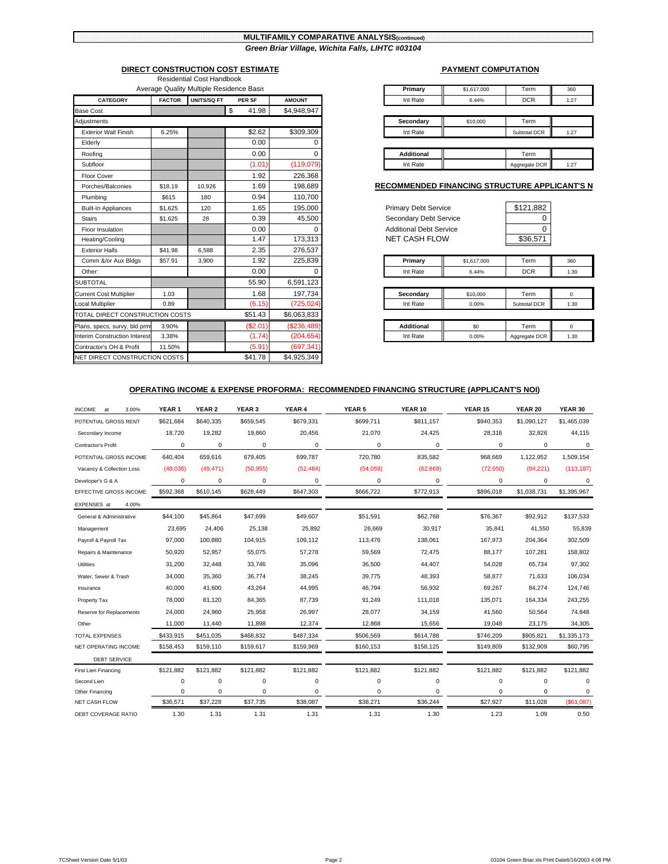#### **MULTIFAMILY COMPARATIVE ANALYSIS(continued)** *Green Briar Village, Wichita Falls, LIHTC #03104*

|                                      |               | Average Quality Multiple Residence Basis |             | Primary<br>\$1,617,000 | Term                                             | 360           |             |
|--------------------------------------|---------------|------------------------------------------|-------------|------------------------|--------------------------------------------------|---------------|-------------|
| <b>CATEGORY</b>                      | <b>FACTOR</b> | UNITS/SQ FT                              | PER SF      | <b>AMOUNT</b>          | Int Rate<br>6.44%                                | <b>DCR</b>    | 1.27        |
| <b>Base Cost</b>                     |               |                                          | \$<br>41.98 | \$4,948,947            |                                                  |               |             |
| Adjustments                          |               |                                          |             |                        | Secondary<br>\$10,000                            | Term          |             |
| <b>Exterior Wall Finish</b>          | 6.25%         |                                          | \$2.62      | \$309,309              | Int Rate                                         | Subtotal DCR  | 1.27        |
| Elderly                              |               |                                          | 0.00        |                        |                                                  |               |             |
| Roofing                              |               |                                          | 0.00        | U                      | <b>Additional</b>                                | Term          |             |
| Subfloor                             |               |                                          | (1.01)      | (119,079)              | Int Rate                                         | Aggregate DCR | 1.27        |
| Floor Cover                          |               |                                          | 1.92        | 226,368                |                                                  |               |             |
| Porches/Balconies                    | \$18.19       | 10.926                                   | 1.69        | 198,689                | <b>RECOMMENDED FINANCING STRUCTURE APPLICANT</b> |               |             |
| Plumbing                             | \$615         | 180                                      | 0.94        | 110,700                |                                                  |               |             |
| <b>Built-In Appliances</b>           | \$1.625       | 120                                      | 1.65        | 195,000                | <b>Primary Debt Service</b>                      | \$121,882     |             |
| <b>Stairs</b>                        | \$1.625       | 28                                       | 0.39        | 45,500                 | Secondary Debt Service                           |               |             |
| Floor Insulation                     |               |                                          | 0.00        | n                      | <b>Additional Debt Service</b>                   | 0             |             |
| Heating/Cooling                      |               |                                          | 1.47        | 173,313                | <b>NET CASH FLOW</b>                             | \$36,571      |             |
| <b>Exterior Halls</b>                | \$41.98       | 6.588                                    | 2.35        | 276,537                |                                                  |               |             |
| Comm &/or Aux Bldgs                  | \$57.91       | 3,900                                    | 1.92        | 225,839                | Primary<br>\$1,617,000                           | Term          | 360         |
| Other:                               |               |                                          | 0.00        |                        | Int Rate<br>6.44%                                | <b>DCR</b>    | 1.30        |
| <b>SUBTOTAL</b>                      |               |                                          | 55.90       | 6,591,123              |                                                  |               |             |
| <b>Current Cost Multiplier</b>       | 1.03          |                                          | 1.68        | 197.734                | Secondary<br>\$10,000                            | Term          | $\mathbf 0$ |
| <b>Local Multiplier</b>              | 0.89          |                                          | (6.15)      | (725, 024)             | Int Rate<br>0.00%                                | Subtotal DCR  | 1.30        |
| TOTAL DIRECT CONSTRUCTION COSTS      |               |                                          | \$51.43     | \$6,063,833            |                                                  |               |             |
| Plans, specs, survy, bld prmf        | 3.90%         |                                          | (\$2.01)    | (\$236,489)            | <b>Additional</b><br>\$0                         | Term          | $\mathbf 0$ |
| <b>Interim Construction Interest</b> | 3.38%         |                                          | (1.74)      | (204, 654)             | Int Rate<br>0.00%                                | Aggregate DCR | 1.30        |
| Contractor's OH & Profit             | 11.50%        |                                          | (5.91)      | (697, 341)             |                                                  |               |             |
| NET DIRECT CONSTRUCTION COSTS        |               |                                          | \$41.78     | \$4,925,349            |                                                  |               |             |

#### **DIRECT CONSTRUCTION COST ESTIMATE EXPLORE AND A PAYMENT COMPUTATION** Residential Cost Handbook

|               | Average Quality Multiple Residence Basis |               |               | Primary           | \$1,617,000 | Term          |
|---------------|------------------------------------------|---------------|---------------|-------------------|-------------|---------------|
| <b>FACTOR</b> | <b>UNITS/SQ FT</b>                       | <b>PER SF</b> | <b>AMOUNT</b> | Int Rate          | 6.44%       | <b>DCR</b>    |
|               |                                          | 41.98         | \$4,948,947   |                   |             |               |
|               |                                          |               |               | Secondary         | \$10,000    | Term          |
| 6.25%         |                                          | \$2.62        | \$309,309     | Int Rate          |             | Subtotal DCR  |
|               |                                          | 0.00          |               |                   |             |               |
|               |                                          | 0.00          |               | <b>Additional</b> |             | Term          |
|               |                                          | (1.01)        | (119,079)     | Int Rate          |             | Aggregate DCR |

#### **RECOMMENDED FINANCING STRUCTURE APPLICANT'S N**

| <b>Primary Debt Service</b><br>Secondary Debt Service<br>Additional Debt Service<br><b>NET CASH FLOW</b> |             | \$121,882<br>O<br>Ω<br>\$36,571 |          |
|----------------------------------------------------------------------------------------------------------|-------------|---------------------------------|----------|
| Primary                                                                                                  | \$1,617,000 | Term                            | 360      |
| Int Rate                                                                                                 | 6.44%       | <b>DCR</b>                      | 1.30     |
|                                                                                                          |             |                                 |          |
| Secondary                                                                                                | \$10,000    | Term                            | $\Omega$ |
| Int Rate                                                                                                 | 0.00%       | Subtotal DCR                    | 1.30     |
|                                                                                                          |             |                                 |          |
| <b>Additional</b>                                                                                        | \$0         | Term                            | 0        |
|                                                                                                          |             |                                 |          |

#### **OPERATING INCOME & EXPENSE PROFORMA: RECOMMENDED FINANCING STRUCTURE (APPLICANT'S NOI)**

| <b>INCOME</b><br>3.00%<br>at | YEAR <sub>1</sub> | YEAR 2    | YEAR 3      | YEAR 4    | <b>YEAR 5</b> | YEAR 10   | <b>YEAR 15</b> | <b>YEAR 20</b> | YEAR 30     |
|------------------------------|-------------------|-----------|-------------|-----------|---------------|-----------|----------------|----------------|-------------|
| POTENTIAL GROSS RENT         | \$621.684         | \$640.335 | \$659,545   | \$679,331 | \$699,711     | \$811.157 | \$940,353      | \$1.090.127    | \$1,465,039 |
| Secondary Income             | 18,720            | 19,282    | 19,860      | 20,456    | 21,070        | 24,425    | 28,316         | 32,826         | 44,115      |
| Contractor's Profit          | $\Omega$          | 0         | $\mathbf 0$ | 0         | $\Omega$      | 0         | 0              | 0              | $\mathbf 0$ |
| POTENTIAL GROSS INCOME       | 640,404           | 659,616   | 679,405     | 699,787   | 720,780       | 835,582   | 968,669        | 1,122,952      | 1,509,154   |
| Vacancy & Collection Loss    | (48,036)          | (49, 471) | (50, 955)   | (52, 484) | (54,059)      | (62, 669) | (72, 650)      | (84, 221)      | (113, 187)  |
| Developer's G & A            | $\mathbf 0$       | 0         | 0           | 0         | 0             | 0         | 0              | 0              | 0           |
| EFFECTIVE GROSS INCOME       | \$592,368         | \$610,145 | \$628,449   | \$647,303 | \$666,722     | \$772,913 | \$896,018      | \$1,038,731    | \$1,395,967 |
| EXPENSES at<br>4.00%         |                   |           |             |           |               |           |                |                |             |
| General & Administrative     | \$44,100          | \$45,864  | \$47,699    | \$49,607  | \$51,591      | \$62,768  | \$76,367       | \$92,912       | \$137,533   |
| Management                   | 23,695            | 24,406    | 25,138      | 25,892    | 26,669        | 30,917    | 35,841         | 41,550         | 55,839      |
| Payroll & Payroll Tax        | 97,000            | 100,880   | 104,915     | 109,112   | 113,476       | 138,061   | 167,973        | 204,364        | 302,509     |
| Repairs & Maintenance        | 50,920            | 52,957    | 55,075      | 57,278    | 59,569        | 72,475    | 88,177         | 107,281        | 158,802     |
| Utilities                    | 31,200            | 32,448    | 33,746      | 35,096    | 36,500        | 44,407    | 54,028         | 65,734         | 97,302      |
| Water, Sewer & Trash         | 34,000            | 35,360    | 36,774      | 38,245    | 39,775        | 48,393    | 58,877         | 71,633         | 106,034     |
| Insurance                    | 40,000            | 41,600    | 43,264      | 44,995    | 46,794        | 56,932    | 69,267         | 84,274         | 124,746     |
| Property Tax                 | 78,000            | 81,120    | 84,365      | 87,739    | 91,249        | 111,018   | 135,071        | 164,334        | 243,255     |
| Reserve for Replacements     | 24,000            | 24,960    | 25,958      | 26,997    | 28,077        | 34,159    | 41,560         | 50,564         | 74,848      |
| Other                        | 11,000            | 11,440    | 11,898      | 12,374    | 12,868        | 15,656    | 19,048         | 23,175         | 34,305      |
| <b>TOTAL EXPENSES</b>        | \$433,915         | \$451,035 | \$468,832   | \$487,334 | \$506,569     | \$614,788 | \$746,209      | \$905,821      | \$1,335,173 |
| NET OPERATING INCOME         | \$158,453         | \$159,110 | \$159,617   | \$159,969 | \$160,153     | \$158,125 | \$149,809      | \$132,909      | \$60,795    |
| <b>DEBT SERVICE</b>          |                   |           |             |           |               |           |                |                |             |
| First Lien Financing         | \$121,882         | \$121,882 | \$121,882   | \$121,882 | \$121,882     | \$121,882 | \$121,882      | \$121,882      | \$121,882   |
| Second Lien                  | $\mathbf 0$       | 0         | 0           | 0         | 0             | 0         | 0              | 0              | $\mathbf 0$ |
| Other Financing              | $\Omega$          | 0         | 0           | 0         | 0             | 0         | 0              | 0              | 0           |
| <b>NET CASH FLOW</b>         | \$36,571          | \$37,228  | \$37,735    | \$38,087  | \$38,271      | \$36,244  | \$27,927       | \$11,028       | (\$61,087)  |
| DEBT COVERAGE RATIO          | 1.30              | 1.31      | 1.31        | 1.31      | 1.31          | 1.30      | 1.23           | 1.09           | 0.50        |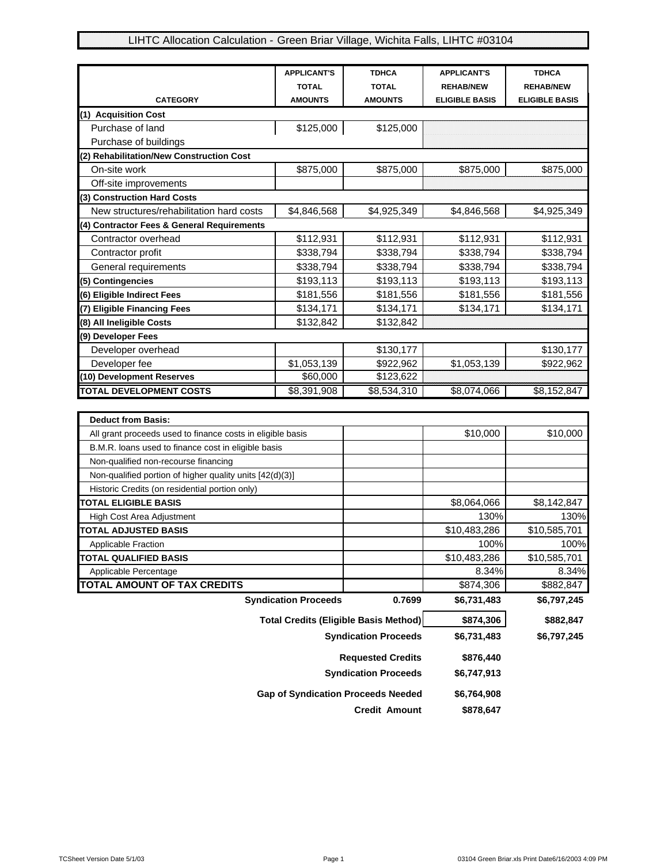# LIHTC Allocation Calculation - Green Briar Village, Wichita Falls, LIHTC #03104

|                                            | <b>APPLICANT'S</b><br><b>TOTAL</b> | <b>TDHCA</b><br><b>TOTAL</b> | <b>APPLICANT'S</b><br><b>REHAB/NEW</b> | <b>TDHCA</b><br><b>REHAB/NEW</b> |
|--------------------------------------------|------------------------------------|------------------------------|----------------------------------------|----------------------------------|
| <b>CATEGORY</b>                            | <b>AMOUNTS</b>                     | <b>AMOUNTS</b>               | <b>ELIGIBLE BASIS</b>                  | <b>ELIGIBLE BASIS</b>            |
| (1) Acquisition Cost                       |                                    |                              |                                        |                                  |
| Purchase of land                           | \$125,000                          | \$125,000                    |                                        |                                  |
| Purchase of buildings                      |                                    |                              |                                        |                                  |
| (2) Rehabilitation/New Construction Cost   |                                    |                              |                                        |                                  |
| On-site work                               | \$875,000                          | \$875,000                    | \$875,000                              | \$875,000                        |
| Off-site improvements                      |                                    |                              |                                        |                                  |
| (3) Construction Hard Costs                |                                    |                              |                                        |                                  |
| New structures/rehabilitation hard costs   | \$4,846,568                        | \$4,925,349                  | \$4,846,568                            | \$4,925,349                      |
| (4) Contractor Fees & General Requirements |                                    |                              |                                        |                                  |
| Contractor overhead                        | \$112,931                          | \$112,931                    | \$112,931                              | \$112,931                        |
| Contractor profit                          | \$338,794                          | \$338,794                    | \$338,794                              | \$338,794                        |
| General requirements                       | \$338,794                          | \$338,794                    | \$338,794                              | \$338,794                        |
| (5) Contingencies                          | \$193,113                          | \$193,113                    | \$193,113                              | \$193,113                        |
| (6) Eligible Indirect Fees                 | \$181,556                          | \$181,556                    | \$181,556                              | \$181,556                        |
| (7) Eligible Financing Fees                | \$134,171                          | \$134,171                    | \$134,171                              | \$134,171                        |
| (8) All Ineligible Costs                   | \$132,842                          | \$132,842                    |                                        |                                  |
| (9) Developer Fees                         |                                    |                              |                                        |                                  |
| Developer overhead                         |                                    | \$130,177                    |                                        | \$130,177                        |
| Developer fee                              | \$1,053,139                        | \$922,962                    | \$1,053,139                            | \$922,962                        |
| (10) Development Reserves                  | \$60,000                           | \$123,622                    |                                        |                                  |
| <b>TOTAL DEVELOPMENT COSTS</b>             | \$8,391,908                        | \$8,534,310                  | \$8,074,066                            | \$8,152,847                      |

| <b>Deduct from Basis:</b>                                  |                             |              |              |
|------------------------------------------------------------|-----------------------------|--------------|--------------|
| All grant proceeds used to finance costs in eligible basis |                             | \$10,000     | \$10,000     |
| B.M.R. loans used to finance cost in eligible basis        |                             |              |              |
| Non-qualified non-recourse financing                       |                             |              |              |
| Non-qualified portion of higher quality units [42(d)(3)]   |                             |              |              |
| Historic Credits (on residential portion only)             |                             |              |              |
| <b>TOTAL ELIGIBLE BASIS</b>                                |                             | \$8,064,066  | \$8,142,847  |
| High Cost Area Adjustment                                  |                             | 130%         | 130%         |
| <b>TOTAL ADJUSTED BASIS</b>                                |                             | \$10,483,286 | \$10,585,701 |
| Applicable Fraction                                        |                             | 100%         | 100%         |
| <b>TOTAL QUALIFIED BASIS</b>                               |                             | \$10,483,286 | \$10,585,701 |
| Applicable Percentage                                      |                             | 8.34%        | 8.34%        |
| <b>TOTAL AMOUNT OF TAX CREDITS</b>                         |                             | \$874,306    | \$882,847    |
| <b>Syndication Proceeds</b>                                | 0.7699                      | \$6,731,483  | \$6,797,245  |
| <b>Total Credits (Eligible Basis Method)</b>               |                             | \$874,306    | \$882,847    |
|                                                            | <b>Syndication Proceeds</b> | \$6,731,483  | \$6,797,245  |
|                                                            | <b>Requested Credits</b>    | \$876,440    |              |
|                                                            | <b>Syndication Proceeds</b> | \$6,747,913  |              |

| \$6.764.908 | <b>Gap of Syndication Proceeds Needed</b> |  |  |  |  |
|-------------|-------------------------------------------|--|--|--|--|
| \$878.647   | <b>Credit Amount</b>                      |  |  |  |  |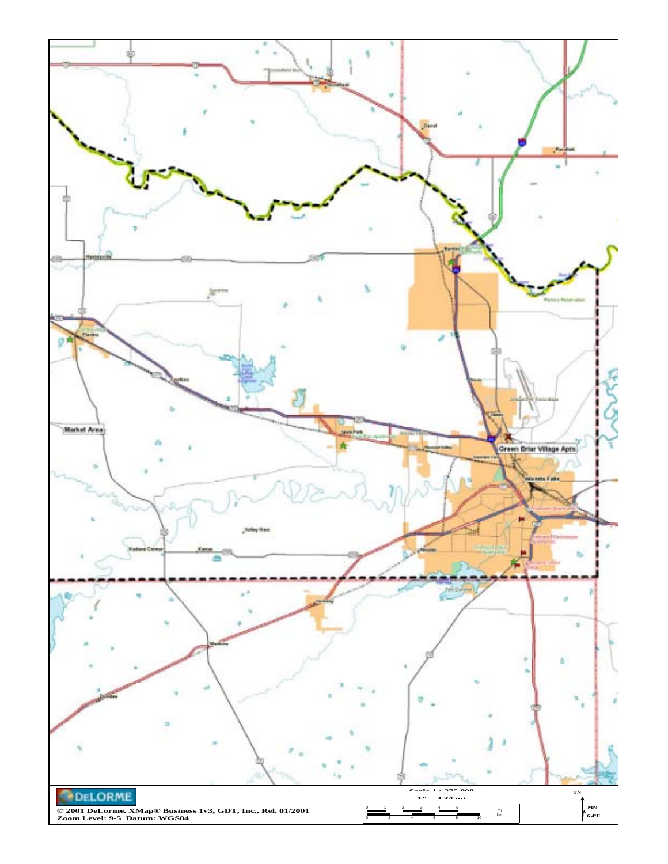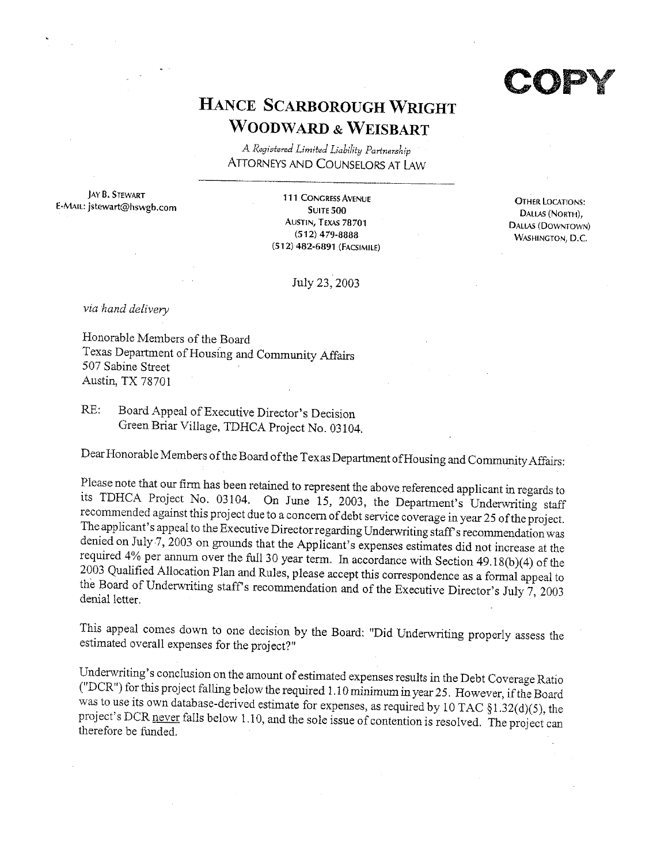# HANCE SCARBOROUGH WRIGHT **WOODWARD & WEISBART**

A Registered Limited Liability Partnership **ATTORNEYS AND COUNSELORS AT LAW** 

**JAY B. STEWART** E-MAIL: jstewart@hswgb.com

111 CONGRESS AVENUE **SUITE 500** AUSTIN, TEXAS 78701  $(512)$  479-8888 (512) 482-6891 (FACSIMILE)

**OTHER LOCATIONS:** Dallas (North), DALLAS (DOWNTOWN) **WASHINGTON, D.C.** 

July 23, 2003

via hand delivery

Honorable Members of the Board Texas Department of Housing and Community Affairs 507 Sabine Street Austin, TX 78701

Board Appeal of Executive Director's Decision RE: Green Briar Village, TDHCA Project No. 03104.

Dear Honorable Members of the Board of the Texas Department of Housing and Community Affairs:

Please note that our firm has been retained to represent the above referenced applicant in regards to its TDHCA Project No. 03104. On June 15, 2003, the Department's Underwriting staff recommended against this project due to a concern of debt service coverage in year 25 of the project. The applicant's appeal to the Executive Director regarding Underwriting staff's recommendation was denied on July 7, 2003 on grounds that the Applicant's expenses estimates did not increase at the required 4% per annum over the full 30 year term. In accordance with Section 49.18(b)(4) of the 2003 Qualified Allocation Plan and Rules, please accept this correspondence as a formal appeal to the Board of Underwriting staff's recommendation and of the Executive Director's July  $\overline{7}$ , 2003 denial letter.

This appeal comes down to one decision by the Board: "Did Underwriting properly assess the estimated overall expenses for the project?"

Underwriting's conclusion on the amount of estimated expenses results in the Debt Coverage Ratio ("DCR") for this project falling below the required 1.10 minimum in year 25. However, if the Board was to use its own database-derived estimate for expenses, as required by 10 TAC  $\S1.32(d)(5)$ , the project's DCR never falls below 1.10, and the sole issue of contention is resolved. The project can therefore be funded.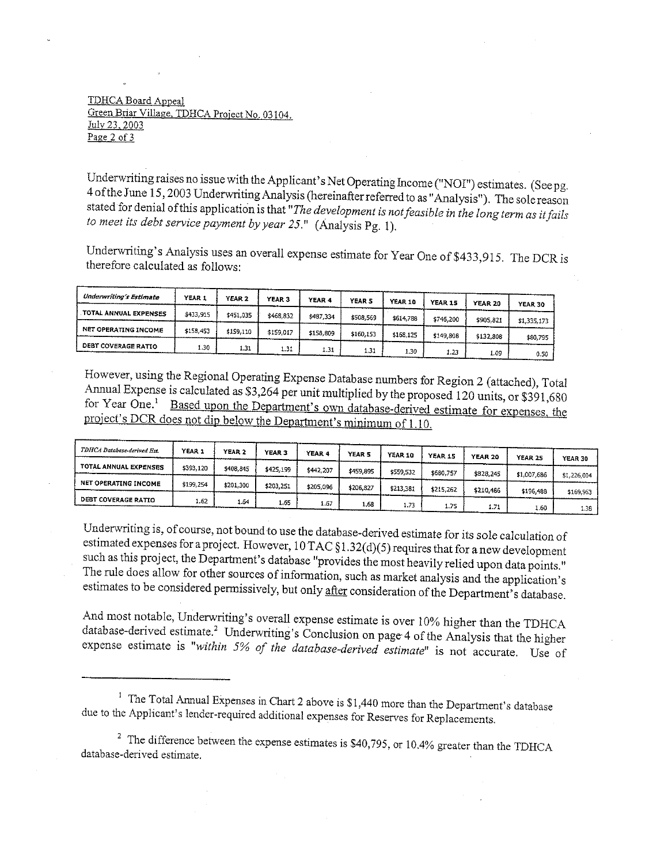#### TDHCA Board Appeal Green Briar Village, TDHCA Project No. 03104. July 23, 2003 Page 2 of  $3$

Underwriting raises no issue with the Applicant's Net Operating Income ("NOI") estimates. (See pg. 4 of the June 15, 2003 Underwriting Analysis (hereinafter referred to as "Analysis"). The sole reason stated for denial of this application is that "The development is not feasible in the long term as it fails to meet its debt service payment by year 25." (Analysis Pg. 1).

Underwriting's Analysis uses an overall expense estimate for Year One of \$433,915. The DCR is therefore calculated as follows:

| Underwriting's Estimate     | YEAR 1    | YEAR <sub>2</sub> | YEAR 3    | YEAR 4    | <b>YEAR 5</b> | YEAR 10   | YEAR 15   | YEAR 20   | <b>YEAR 30</b> |
|-----------------------------|-----------|-------------------|-----------|-----------|---------------|-----------|-----------|-----------|----------------|
| TOTAL ANNUAL EXPENSES       | \$433.915 | \$451,035         | \$468.832 | \$487,334 | \$508.569     | \$614,788 | \$746.200 | \$905.821 | \$1,335,173    |
| <b>NET OPERATING INCOME</b> | \$158,453 | \$159,110         | \$159,017 | \$158.809 | \$160.153     | \$168.125 | \$149,808 | \$132,808 | \$80.795       |
| <b>DEBT COVERAGE RATIO</b>  | .30       | 1.31              | 1.31      | 1.31      | 1.31          | i.30      |           |           |                |
|                             |           |                   |           |           |               |           | 1.23      | 1.09      | 0.50           |

However, using the Regional Operating Expense Database numbers for Region 2 (attached), Total Annual Expense is calculated as \$3,264 per unit multiplied by the proposed 120 units, or \$391,680 for Year One.<sup>1</sup> Based upon the Department's own database-derived estimate for expenses, the project's DCR does not dip below the Department's minimum of 1.10.

| TDHCA Database-derived Est. | YEAR 1    | YEAR 2    | <b>YEAR 3</b> | YEAR 4    | <b>YEAR 5</b> | YEAR 10   | YEAR 15   | <b>YEAR 20</b> | <b>YEAR 25</b> | <b>YEAR 30</b> |
|-----------------------------|-----------|-----------|---------------|-----------|---------------|-----------|-----------|----------------|----------------|----------------|
| TOTAL ANNUAL EXPENSES       | \$393.120 | \$408.845 | \$425,199     | \$442,207 | \$459,895     | \$559,532 | \$680,757 | \$828,245      | \$1,007,686    |                |
| NET OPERATING INCOME        | \$199.254 | \$201.300 | \$203,251     | \$205,096 | \$206.827     | \$213,381 | \$215,262 |                |                | \$1,226,004    |
| <b>DEBT COVERAGE RATIO</b>  | 1.62      |           |               |           |               |           |           | \$210,486      | \$196,488      | \$169,963      |
|                             |           | 1.64      | 1.65          | 1.67      | 1,68          | 1.73      | 1.75      | 1.71           | 1.60           | 1.38           |

Underwriting is, of course, not bound to use the database-derived estimate for its sole calculation of estimated expenses for a project. However,  $10$  TAC  $\S1.32(d)(5)$  requires that for a new development such as this project, the Department's database "provides the most heavily relied upon data points." The rule does allow for other sources of information, such as market analysis and the application's estimates to be considered permissively, but only after consideration of the Department's database.

And most notable, Underwriting's overall expense estimate is over 10% higher than the TDHCA database-derived estimate.<sup>2</sup> Underwriting's Conclusion on page 4 of the Analysis that the higher expense estimate is "within 5% of the database-derived estimate" is not accurate. Use of

<sup>&</sup>lt;sup>1</sup> The Total Annual Expenses in Chart 2 above is  $$1,440$  more than the Department's database due to the Applicant's lender-required additional expenses for Reserves for Replacements.

<sup>&</sup>lt;sup>2</sup> The difference between the expense estimates is \$40,795, or 10.4% greater than the TDHCA database-derived estimate.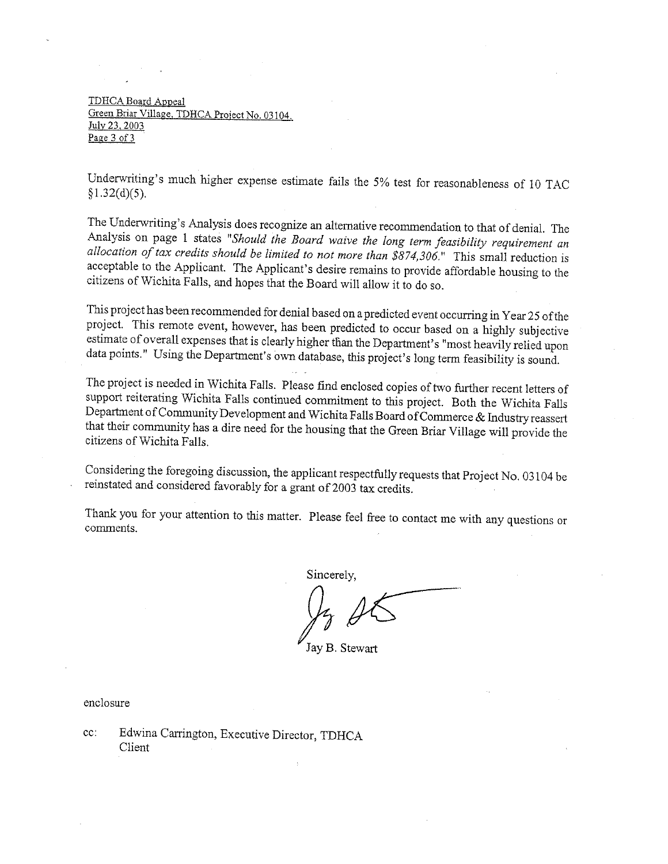TDHCA Board Appeal Green Briar Village, TDHCA Project No. 03104. July 23, 2003 Page 3 of 3

Underwriting's much higher expense estimate fails the 5% test for reasonableness of 10 TAC  $$1.32(d)(5).$ 

The Underwriting's Analysis does recognize an alternative recommendation to that of denial. The Analysis on page 1 states "Should the Board waive the long term feasibility requirement an allocation of tax credits should be limited to not more than  $$874,306$ ." This small reduction is acceptable to the Applicant. The Applicant's desire remains to provide affordable housing to the citizens of Wichita Falls, and hopes that the Board will allow it to do so.

This project has been recommended for denial based on a predicted event occurring in Year 25 of the project. This remote event, however, has been predicted to occur based on a highly subjective estimate of overall expenses that is clearly higher than the Department's "most heavily relied upon data points." Using the Department's own database, this project's long term feasibility is sound.

The project is needed in Wichita Falls. Please find enclosed copies of two further recent letters of support reiterating Wichita Falls continued commitment to this project. Both the Wichita Falls Department of Community Development and Wichita Falls Board of Commerce & Industry reassert that their community has a dire need for the housing that the Green Briar Village will provide the citizens of Wichita Falls

Considering the foregoing discussion, the applicant respectfully requests that Project No. 03104 be reinstated and considered favorably for a grant of 2003 tax credits.

Thank you for your attention to this matter. Please feel free to contact me with any questions or comments.

Sincerely.

Jay B. Stewart

enclosure

cc: Edwina Carrington, Executive Director, TDHCA Client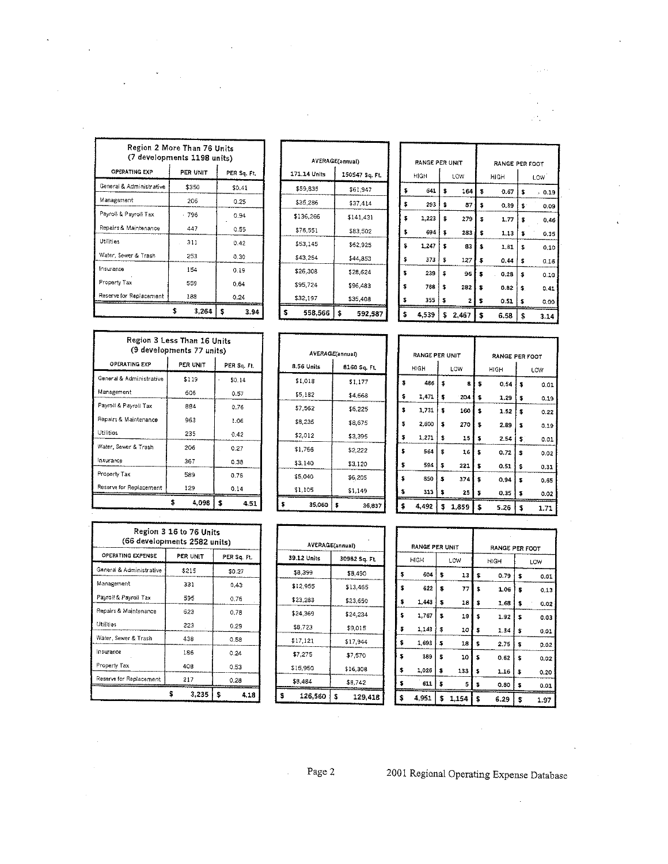| Region 2 More Than 76 Units<br>(7 developments 1198 units) |          |             |  |  |  |  |  |  |
|------------------------------------------------------------|----------|-------------|--|--|--|--|--|--|
| <b>OPERATING EXP</b>                                       | PER UNIT | PER Sq. Ft. |  |  |  |  |  |  |
| General & Administrative                                   | \$350    | \$0.41      |  |  |  |  |  |  |
| Management                                                 | 206      | 0.25        |  |  |  |  |  |  |
| Payroll & Payroll Tax                                      | - 796    | 0.94        |  |  |  |  |  |  |
| Repairs & Maintenance                                      | 447      | 0.55        |  |  |  |  |  |  |
| Utilities                                                  | 311      | 0.42        |  |  |  |  |  |  |
| Water, Sewer & Trash                                       | 253      | 0.30        |  |  |  |  |  |  |
| Insurance                                                  | 154      | 0.19        |  |  |  |  |  |  |
| Property Tax                                               | 559      | 0.64        |  |  |  |  |  |  |
| Reserve for Replacement                                    | 188      | 0.24        |  |  |  |  |  |  |
|                                                            | 3.264    | \$<br>3.94  |  |  |  |  |  |  |

|              | <b>AVERAGE(annual)</b> |  |  |  |  |  |  |  |
|--------------|------------------------|--|--|--|--|--|--|--|
| 171.14 Units | 150547 Sq. Ft.         |  |  |  |  |  |  |  |
| \$59,835     | \$61.947               |  |  |  |  |  |  |  |
| \$35,286     | \$37,414               |  |  |  |  |  |  |  |
| \$136,266    | \$141,431              |  |  |  |  |  |  |  |
| \$76,551     | \$83.502               |  |  |  |  |  |  |  |
| \$53,145     | \$62,925               |  |  |  |  |  |  |  |
| \$43,254     | \$44.853               |  |  |  |  |  |  |  |
| \$26,308     | \$28,624               |  |  |  |  |  |  |  |
| \$95,724     | \$96,483               |  |  |  |  |  |  |  |
| \$32,197     | \$35,408               |  |  |  |  |  |  |  |
| s<br>558,566 | \$<br>592,587          |  |  |  |  |  |  |  |
|              |                        |  |  |  |  |  |  |  |

| RANGE PER UNIT |       |    |       |    | RANGE PER FOOT |     |                  |  |
|----------------|-------|----|-------|----|----------------|-----|------------------|--|
|                | HIGH  |    | LOW   |    | HIGH           |     | LOW <sup>1</sup> |  |
| \$             | 641   | \$ | 164   | \$ | 0.67           | \$  | 0.19             |  |
| \$             | 293   | \$ | 87    | \$ | 0.39           | \$. | 0,09             |  |
| \$             | 1.223 | \$ | 279   | 2  | 1.77           | \$  | 0.46             |  |
| \$             | 694   | \$ | 283   | \$ | 1.13           | \$  | 0,35             |  |
| \$             | 1,247 | \$ | 83    | s  | 1.81           | S   | 0.10             |  |
| \$             | 373   | \$ | 127   | \$ | 0,44           | \$  | 0.16             |  |
| \$             | 239   | \$ | 96    | \$ | 0.28           | \$  | 0.10             |  |
| \$             | 788   | \$ | 282   | s. | 0.82           | \$  | 0.41             |  |
| \$             | 355   | \$ | 2     | Ş  | 0.51           | \$  | 0,00             |  |
| \$             | 4.539 | \$ | 2,467 | \$ | 6.58           | \$  | 3.14             |  |

J.

| Region 3 Less Than 16 Units<br>(9 developments 77 units) |             |            |  |  |  |  |  |  |
|----------------------------------------------------------|-------------|------------|--|--|--|--|--|--|
| <b>OPERATING FXP</b><br>PER UNIT<br>PER Sq. Ft.          |             |            |  |  |  |  |  |  |
| General & Administrative                                 | \$119       | \$0.14     |  |  |  |  |  |  |
| Management                                               | 606         | 0.57       |  |  |  |  |  |  |
| Payroll & Payroll Tax                                    | 884         | 0.76       |  |  |  |  |  |  |
| Repairs & Maintenance                                    | 963         | 1.06       |  |  |  |  |  |  |
| Utilities                                                | 235         | 0.42       |  |  |  |  |  |  |
| Water, Sewer & Trash                                     | 206         | 0.27       |  |  |  |  |  |  |
| insurance                                                | 367         | 0.38       |  |  |  |  |  |  |
| Property Tax                                             | 589         | 0.76       |  |  |  |  |  |  |
| Reserve for Replacement                                  | 129<br>0.14 |            |  |  |  |  |  |  |
|                                                          | £<br>4.098  | \$<br>4.51 |  |  |  |  |  |  |

| Region 3 16 to 76 Units<br>(66 developments 2582 units) |          |             |  |  |  |  |  |  |
|---------------------------------------------------------|----------|-------------|--|--|--|--|--|--|
| <b>OPERATING EXPENSE</b>                                | PER UNIT | PER Sq. Ft. |  |  |  |  |  |  |
| General & Administrative                                | \$215    | \$0.27      |  |  |  |  |  |  |
| Management                                              | 331      | 0.43        |  |  |  |  |  |  |
| Payroll & Payroll Tax                                   | 595      | 0.76        |  |  |  |  |  |  |
| Repairs & Maintenance                                   | 623      | 0.78        |  |  |  |  |  |  |
| Utilities                                               | 223      | 0.29        |  |  |  |  |  |  |
| Water, Sewer & Trash                                    | 438      | 0.58        |  |  |  |  |  |  |
| Insurance                                               | 186      | 0.24        |  |  |  |  |  |  |
| Property Tax                                            | 408      | 0.53        |  |  |  |  |  |  |
| Reserve for Replacement                                 | 217      | 0.28        |  |  |  |  |  |  |
|                                                         | 3.235    | s<br>4.18   |  |  |  |  |  |  |

| AVERAGE(annual) |              |  |  |  |  |  |  |
|-----------------|--------------|--|--|--|--|--|--|
| 8.56 Units      | 8160 Sq. Ft. |  |  |  |  |  |  |
| \$1,018         | \$1.177      |  |  |  |  |  |  |
| \$5,182         | \$4,668      |  |  |  |  |  |  |
| \$7,562         | \$6.225      |  |  |  |  |  |  |
| \$8,235         | \$8.675      |  |  |  |  |  |  |
| \$2,012         | \$3,395      |  |  |  |  |  |  |
| \$1.766         | \$2,222      |  |  |  |  |  |  |
| \$3,140         | \$3,120      |  |  |  |  |  |  |
| \$5,040         | \$6,205      |  |  |  |  |  |  |
| \$1,105         | \$1.149      |  |  |  |  |  |  |
| 35,060          | \$<br>36,837 |  |  |  |  |  |  |

|    | RANGE PER UNIT |             |            | <b>RANGE PER FOOT</b> |            |      |  |  |  |
|----|----------------|-------------|------------|-----------------------|------------|------|--|--|--|
|    |                |             |            |                       |            |      |  |  |  |
|    | HIGH           | LOW         |            | HIGH                  | LOW        |      |  |  |  |
| \$ | 486            | \$<br>8     | \$         | 0,54                  | \$<br>0.01 |      |  |  |  |
| \$ | 1,471          | \$<br>204   | \$         | 1,29                  | \$         | 0.19 |  |  |  |
| Ś  | 1,731          | \$<br>160   | \$         | 1.52                  | \$         | 0.22 |  |  |  |
| \$ | 2,600          | \$<br>270   | s<br>2.89  |                       | \$         | 0.19 |  |  |  |
| 2  | 1,271          | \$<br>15    | \$<br>2.54 |                       | \$`        | 0.01 |  |  |  |
| Ś  | 564            | \$<br>16    | s          | 0.72                  | \$         | 0.02 |  |  |  |
| \$ | 594            | \$<br>221   | \$         | 0.51                  | \$         | 0.31 |  |  |  |
| Ś  | 850            | \$<br>374   | s          | 0.94                  | s          | 0.65 |  |  |  |
| s  | 313            | \$<br>25    | 2          | 0.35                  |            | 0.02 |  |  |  |
| s  | 4,492          | \$<br>1.859 | \$         | 5.26                  | \$         | 1.71 |  |  |  |

| AVERAGE(annual) |               |  |  |  |  |  |  |  |
|-----------------|---------------|--|--|--|--|--|--|--|
| 39.12 Units     | 30982 Sq. Ft. |  |  |  |  |  |  |  |
| \$8,399         | \$8,490       |  |  |  |  |  |  |  |
| \$12,955        | \$13,465      |  |  |  |  |  |  |  |
| \$23,283        | \$23.650      |  |  |  |  |  |  |  |
| \$24,369        | \$24.234      |  |  |  |  |  |  |  |
| \$8,723         | \$9.015       |  |  |  |  |  |  |  |
| \$17,121        | \$17,944      |  |  |  |  |  |  |  |
| \$7.275         | \$7,570       |  |  |  |  |  |  |  |
| \$15,950        | \$16,308      |  |  |  |  |  |  |  |
| \$8,484         | \$8,742       |  |  |  |  |  |  |  |
| 126,560         | ŝ<br>129,418  |  |  |  |  |  |  |  |

| RANGE PER UNIT |             | RANGE PER FOOT |             |    |      |  |  |
|----------------|-------------|----------------|-------------|----|------|--|--|
| HIGH           | LOW         |                | HIGH<br>LOW |    |      |  |  |
| \$<br>604      | \$<br>13    | \$             | 0.79        | \$ | 0.01 |  |  |
| \$<br>622      | \$<br>77    | \$             | 1.06        | \$ | 0.13 |  |  |
| \$<br>1.443    | \$<br>18    | \$             | 1,68        | \$ | 0.02 |  |  |
| \$<br>1.767    | \$<br>19    | \$             | 1.92        | \$ | 0.03 |  |  |
| \$<br>1.143    | \$<br>10    | \$             | 1.34        | \$ | 0.01 |  |  |
| \$<br>1,693    | \$<br>18    | \$             | 2.75        | \$ | 0.02 |  |  |
| \$<br>389      | \$<br>10    | \$             | 0.62        | \$ | 0.02 |  |  |
| \$<br>1,026    | \$<br>133   | \$             | 1.16        | \$ | 0.20 |  |  |
| \$<br>611      | \$<br>5     | Ş              | 0,80        | \$ | 0.01 |  |  |
| \$<br>4.951    | \$<br>1,154 | \$             | 6.29        | \$ | 1.97 |  |  |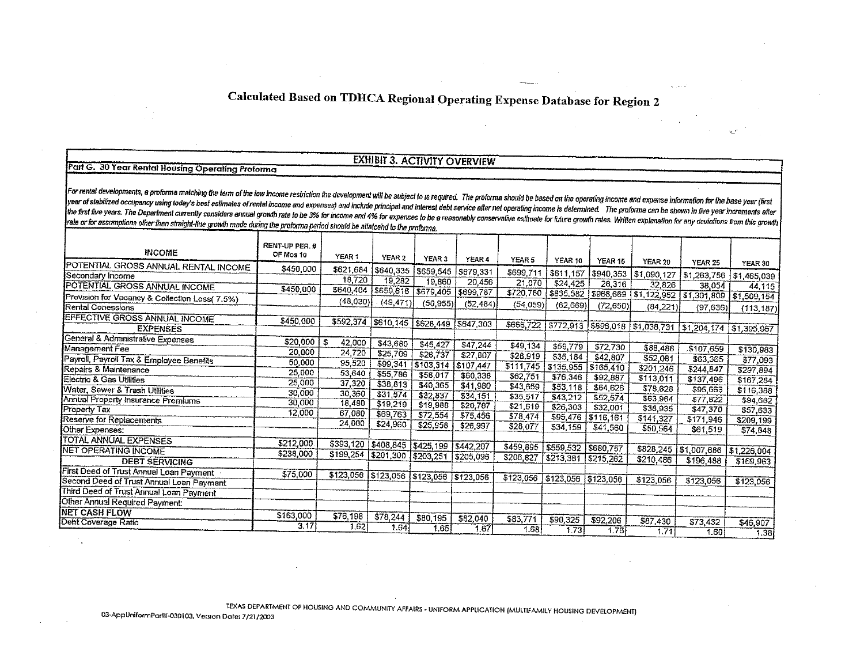# Calculated Based on TDHCA Regional Operating Expense Database for Region 2

#### Part G. 30 Year Rental Housing Operating Proforma

## **EXHIBIT 3. ACTIVITY OVERVIEW**

For rental developments, a proforma matching the term of the low income restriction the development will be subject to is required. The proforma should be based on the operating income and expense information for the base year of stabilized occupancy using today's best estimates of rental income and expenses) and include principal and interest debt service after net operating income is determined. The proforma can be shown in five year incr the first five years. The Department currently considers annual growth rate to be 3% for income and 4% for expenses to be a reasonably conservative estimate for future growth rates. Written explanation for any deviations f rate or for assumptions other than straight-line growth made during the proforma period should be attaicend to the proforma.

| <b>INCOME</b>                                  | RENT-UP PER. #<br>OF Mos 10 |                               |                               |                     |                     |                               |                       |           |                                     |                                                                 |             |
|------------------------------------------------|-----------------------------|-------------------------------|-------------------------------|---------------------|---------------------|-------------------------------|-----------------------|-----------|-------------------------------------|-----------------------------------------------------------------|-------------|
| POTENTIAL GROSS ANNUAL RENTAL INCOME           |                             | YEAR <sub>1</sub>             | YEAR <sub>2</sub>             | <b>YEAR 3</b>       | YEAR 4              | YEAR 5                        | YEAR 10               | YEAR 15   | YEAR 20                             | <b>YEAR 25</b>                                                  | YEAR 30     |
| Secondary Income                               | \$450,000                   | \$621,684                     | \$640,335                     | \$659,545           | \$679,331           | \$699,711                     |                       |           | \$811,157   \$940,353   \$1,090,127 | \$1,263,756                                                     | \$1,465,039 |
| POTENTIAL GROSS ANNUAL INCOME                  |                             | 18,720                        | 19.282                        | 19,860              | 20,456              | 21.070                        | \$24,425              | 28,316    | 32,826                              | 38,054                                                          | 44,115      |
|                                                | \$450,000                   | \$640,404                     | \$659,616                     |                     | \$679,405 \$699,787 | \$720,780                     |                       |           |                                     | \$835,582   \$968,669   \$1,122,952   \$1,301,809   \$1,509,154 |             |
| Provision for Vacancy & Collection Loss( 7.5%) |                             | (48,030)                      | (49, 471)                     | (50, 955)           | (52, 484)           | (54.059)                      | (62, 669)             | (72, 650) |                                     |                                                                 |             |
| Rental Conessions                              |                             |                               |                               |                     |                     |                               |                       |           | (84,221)                            | (97, 636)                                                       | (113, 187)  |
| <b>EFFECTIVE GROSS ANNUAL INCOME</b>           | \$450,000                   | \$592,374                     | \$610,145 \$628,449 \$647,303 |                     |                     | \$666,722                     |                       |           |                                     |                                                                 |             |
| <b>EXPENSES</b>                                |                             |                               |                               |                     |                     |                               |                       |           |                                     | 5772,913 \$896,018 \$1,038,731 \$1,204,174 \$1,395,967          |             |
| General & Administrative Expenses              | \$20,000                    | -5<br>42,000                  | \$43,680                      | \$45,427            | \$47,244            | \$49,134                      |                       |           |                                     |                                                                 |             |
| Management Fee                                 | 20,000                      | 24,720                        | \$25,709                      | \$26,737            | \$27,807            | \$28,919                      | \$59,779              | \$72,730  | \$88,488                            | \$107,659                                                       | \$130,983   |
| Payroll, Payroll Tax & Employee Benefits       | 50.000                      | 95,520                        | \$99,341                      | \$103,314 \$107,447 |                     |                               | \$35,184              | \$42,807  | \$52,081                            | \$63,365                                                        | \$77,093    |
| Repairs & Maintenance                          | 25,000                      | 53,640                        | \$55,786                      | \$58,017            | \$60,338            | \$111,745                     | \$135,955             | \$165,410 | \$201,246                           | \$244,847                                                       | \$297,894   |
| Electric & Gas Utilities                       | 25,000                      | 37,320                        | \$38,813                      | \$40,365            | \$41,980            | \$62,751                      | \$76,346              | \$92,887  | \$113,011                           | \$137,496                                                       | \$167,284   |
| Water, Sewer & Trash Utilities                 | 30,000                      | 30,360                        | \$31,574                      | \$32,837            | \$34,151            | \$43,659                      | \$53,118              | \$64,626  | \$78,628                            | \$95,663                                                        | \$116,388   |
| Annual Property Insurance Premiums             | 30,000                      | 18,480                        | \$19,219                      | \$19,988            |                     | \$35,517                      | \$43,212              | \$52,574  | \$63,964                            | 577,822                                                         | \$94,682    |
| Property Tax                                   | 12,000                      | 67,080                        | \$69,763                      | \$72,554            | \$20,787            | \$21,619                      | \$26,303              | \$32,001  | \$38,935                            | \$47,370                                                        | \$57,633    |
| Reserve for Replacements.                      |                             | 24,000                        | \$24,960                      | \$25,958            | \$75,456            | \$78,474                      | \$95,476              | \$116,161 | \$141,327                           | \$171,946                                                       | \$209,199   |
| Other Expenses:                                |                             |                               |                               |                     | \$26,997            | \$28,077                      | \$34,159              | \$41,560  | \$50,564                            | \$61,519                                                        | \$74,848    |
| <b>TOTAL ANNUAL EXPENSES</b>                   | \$212,000                   | \$393,120 \$408,845 \$425,199 |                               |                     |                     |                               |                       |           |                                     |                                                                 |             |
| NET OPERATING INCOME                           | \$238,000                   | \$199,254 \$201,300           |                               |                     | \$442,207           | \$459,895                     | \$559,532   \$680,757 |           |                                     | \$828,245   \$1,007,686                                         | 51,226,004  |
| <b>DEBT SERVICING</b>                          |                             |                               |                               | \$203,251           | \$205,096           | \$206,827                     | \$213,381 \$215,262   |           | \$210,486                           | \$196,488                                                       | \$169,963   |
| First Deed of Trust Annual Loan Payment        | \$75,000                    |                               |                               |                     |                     |                               |                       |           |                                     |                                                                 |             |
| Second Deed of Trust Annual Loan Payment       |                             | \$123,056 \$123,056 \$123,056 |                               |                     | \$123,056           | \$123,056 \$123,056 \$123,056 |                       |           | \$123,056                           | \$123,056                                                       | \$123,056   |
| Third Deed of Trust Annual Loan Payment        |                             |                               |                               |                     |                     |                               |                       |           |                                     |                                                                 |             |
| Other Annual Required Payment                  |                             |                               |                               |                     |                     |                               |                       |           |                                     |                                                                 |             |
| <b>NET CASH FLOW</b>                           |                             |                               |                               |                     |                     |                               |                       |           |                                     |                                                                 |             |
| Debt Coverage Ratio                            | \$163,000                   | \$76,198                      | \$78,244                      | \$80,195            | \$82,040            | \$83,771                      | \$90,325              | \$92,206  | \$87,430                            | \$73,432                                                        | \$46,907    |
|                                                | 3.17                        | 1.62                          | 1.64                          | 1.65                | 1.67                | 58 <sub>1</sub>               | 1.73                  | 1.75      | 1.71                                | 1.60                                                            | 1.38        |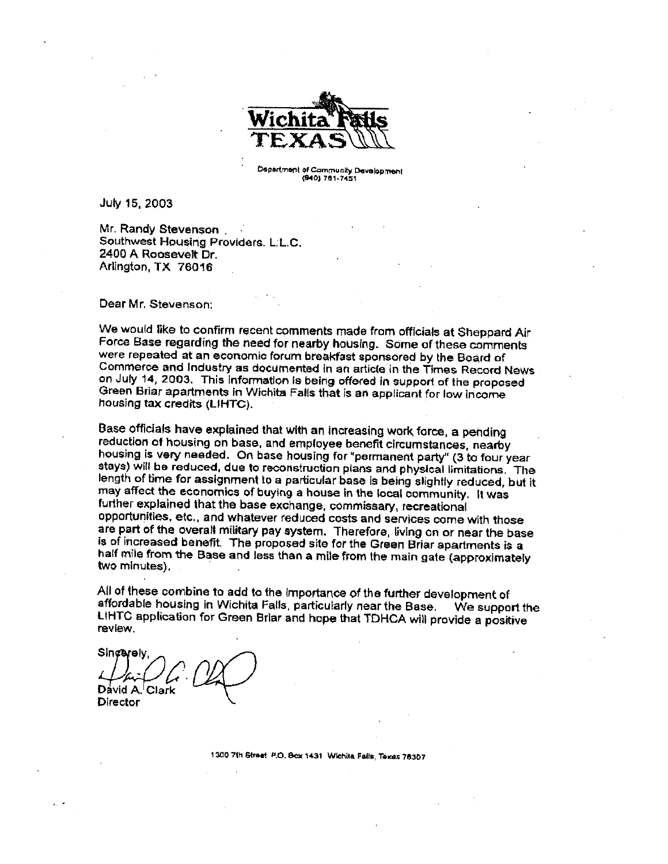

Department of Community Development (940) 781-7451

July 15, 2003

Mr. Randy Stevenson. Southwest Housing Providers, L.L.C. 2400 A Roosevelt Dr. Arlington, TX 76016

Dear Mr. Stevenson:

We would like to confirm recent comments made from officials at Sheppard Air Force Base regarding the need for nearby housing. Some of these comments were repeated at an economic forum breakfast sponsored by the Board of Commerce and Industry as documented in an article in the Times Record News on July 14, 2003. This information is being offered in support of the proposed Green Briar apartments in Wichita Falls that is an applicant for low income housing tax credits (LIHTC).

Base officials have explained that with an increasing work force, a pending reduction of housing on base, and employee benefit circumstances, nearby housing is very needed. On base housing for "permanent party" (3 to four year stays) will be reduced, due to reconstruction plans and physical limitations. The length of time for assignment to a particular base is being slightly reduced, but it may affect the economics of buying a house in the local community. It was further explained that the base exchange, commissary, recreational opportunities, etc., and whatever reduced costs and services come with those are part of the overall military pay system. Therefore, living on or near the base is of increased benefit. The proposed site for the Green Briar apartments is a half mile from the Base and less than a mile from the main gate (approximately two minutes).

All of these combine to add to the importance of the further development of affordable housing in Wichita Falls, particularly near the Base. We support the LIHTC application for Green Briar and hope that TDHCA will provide a positive review.

Sincerely, David A. Clark Director

1300 7th Street P.O. Box 1431 Wichita Falls, Texas 76307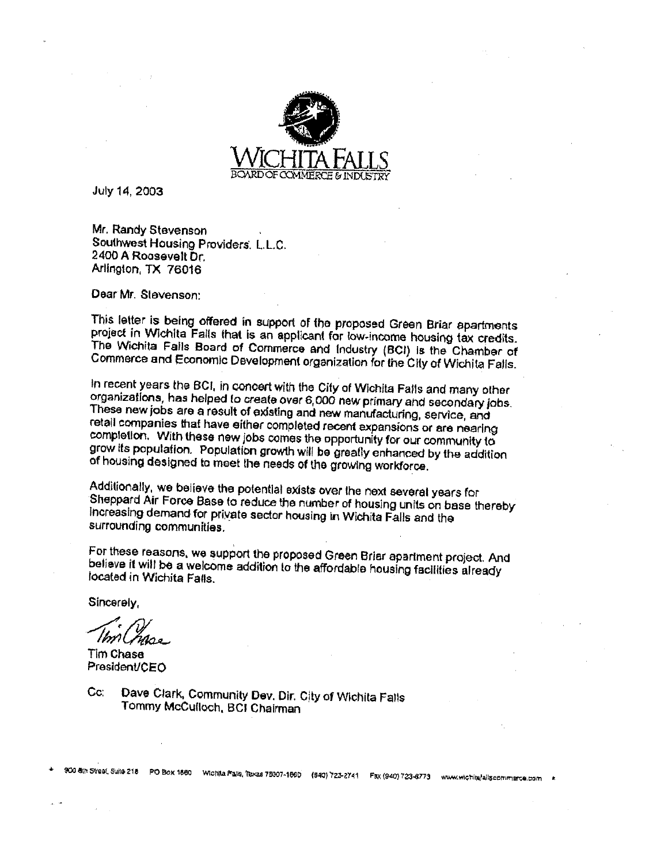

July 14, 2003

Mr. Randy Stevenson Southwest Housing Providers, L.L.C. 2400 A Roosevelt Dr. Arlington, TX 76016

Dear Mr. Stevenson:

This letter is being offered in support of the proposed Green Briar apartments project in Wichita Falls that is an applicant for low-income housing tax credits. The Wichita Falls Board of Commerce and Industry (BCI) is the Chamber of Commerce and Economic Development organization for the City of Wichita Falls.

In recent years the BCI, in concert with the City of Wichita Falls and many other organizations, has helped to create over 6,000 new primary and secondary jobs. These new jobs are a result of existing and new manufacturing, service, and retail companies that have either completed recent expansions or are nearing completion. With these new jobs comes the opportunity for our community to grow its population. Population growth will be greatly enhanced by the addition of housing designed to meet the needs of the growing workforce.

Additionally, we believe the potential exists over the next several years for Sheppard Air Force Base to reduce the number of housing units on base thereby Increasing demand for private sector housing in Wichita Falls and the surrounding communities.

For these reasons, we support the proposed Green Briar apartment project. And believe it will be a welcome addition to the affordable housing facilities already located in Wichita Falls.

Sincerely,

ImMuse

Tim Chase President/CEO

Dave Clark, Community Dev. Dir. City of Wichita Falls  $C_{\mathbf{C}}$ Tommy McCulloch, BCI Chairman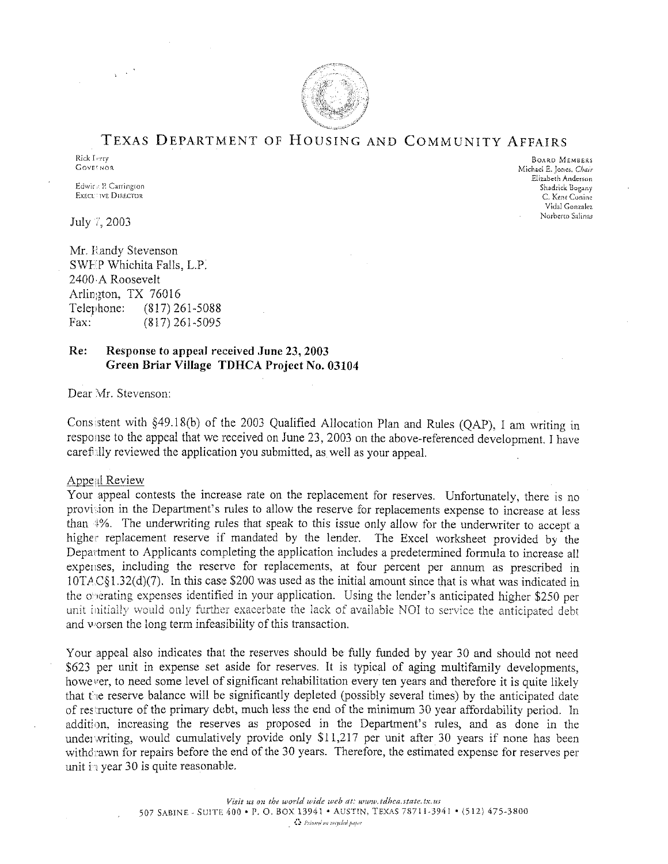

#### TEXAS DEPARTMENT OF HOUSING AND COMMUNITY AFFAIRS

**BOARD MEMBERS** 

Shadrick Bogany

C. Kent Conine Vidal Gonzalez Norberto Salinas

Michael E. Jones, Chair Elizabeth Anderson

Rick Ferry **GOVE NOR** 

Edwins P. Carrington **EXECUTIVE DIRECTOR** 

July 7, 2003

Mr. Handy Stevenson SWEP Whichita Falls, L.P. 2400 A Roosevelt Arlington, TX 76016 Telephone:  $(817)$  261-5088 Fax:  $(817)$  261-5095

#### Re: Response to appeal received June 23, 2003 Green Briar Village TDHCA Project No. 03104

Dear Mr. Stevenson:

Consistent with §49.18(b) of the 2003 Qualified Allocation Plan and Rules (QAP), I am writing in response to the appeal that we received on June 23, 2003 on the above-referenced development. I have carefully reviewed the application you submitted, as well as your appeal.

#### **Appeal Review**

Your appeal contests the increase rate on the replacement for reserves. Unfortunately, there is no provision in the Department's rules to allow the reserve for replacements expense to increase at less than 4%. The underwriting rules that speak to this issue only allow for the underwriter to accept a higher replacement reserve if mandated by the lender. The Excel worksheet provided by the Department to Applicants completing the application includes a predetermined formula to increase all expenses, including the reserve for replacements, at four percent per annum as prescribed in 10TAC§1.32(d)(7). In this case \$200 was used as the initial amount since that is what was indicated in the operating expenses identified in your application. Using the lender's anticipated higher \$250 per unit initially would only further exacerbate the lack of available NOI to service the anticipated debt and worsen the long term infeasibility of this transaction.

Your appeal also indicates that the reserves should be fully funded by year 30 and should not need \$623 per unit in expense set aside for reserves. It is typical of aging multifamily developments, however, to need some level of significant rehabilitation every ten years and therefore it is quite likely that the reserve balance will be significantly depleted (possibly several times) by the anticipated date of restructure of the primary debt, much less the end of the minimum 30 year affordability period. In addition, increasing the reserves as proposed in the Department's rules, and as done in the underwriting, would cumulatively provide only \$11,217 per unit after 30 years if none has been withdrawn for repairs before the end of the 30 years. Therefore, the estimated expense for reserves per unit in year 30 is quite reasonable.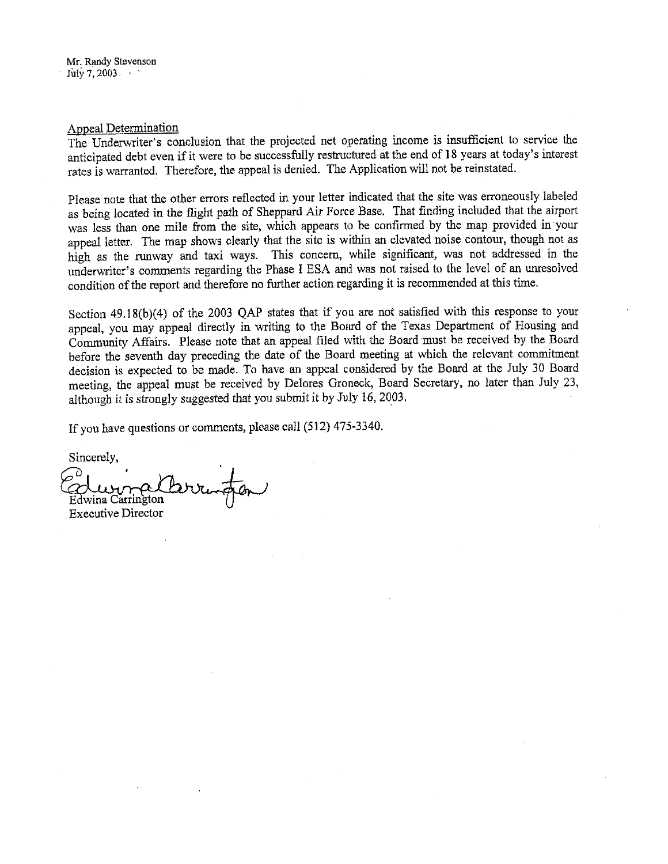#### Appeal Determination

The Underwriter's conclusion that the projected net operating income is insufficient to service the anticipated debt even if it were to be successfully restructured at the end of 18 years at today's interest rates is warranted. Therefore, the appeal is denied. The Application will not be reinstated.

Please note that the other errors reflected in your letter indicated that the site was erroneously labeled as being located in the flight path of Sheppard Air Force Base. That finding included that the airport was less than one mile from the site, which appears to be confirmed by the map provided in your appeal letter. The map shows clearly that the site is within an elevated noise contour, though not as high as the runway and taxi ways. This concern, while significant, was not addressed in the underwriter's comments regarding the Phase I ESA and was not raised to the level of an unresolved condition of the report and therefore no further action regarding it is recommended at this time.

Section 49.18(b)(4) of the 2003 QAP states that if you are not satisfied with this response to your appeal, you may appeal directly in writing to the Board of the Texas Department of Housing and Community Affairs. Please note that an appeal filed with the Board must be received by the Board before the seventh day preceding the date of the Board meeting at which the relevant commitment decision is expected to be made. To have an appeal considered by the Board at the July 30 Board meeting, the appeal must be received by Delores Groneck, Board Secretary, no later than July 23, although it is strongly suggested that you submit it by July 16, 2003.

If you have questions or comments, please call (512) 475-3340.

Sincerely, Edwina Carrington **Executive Director**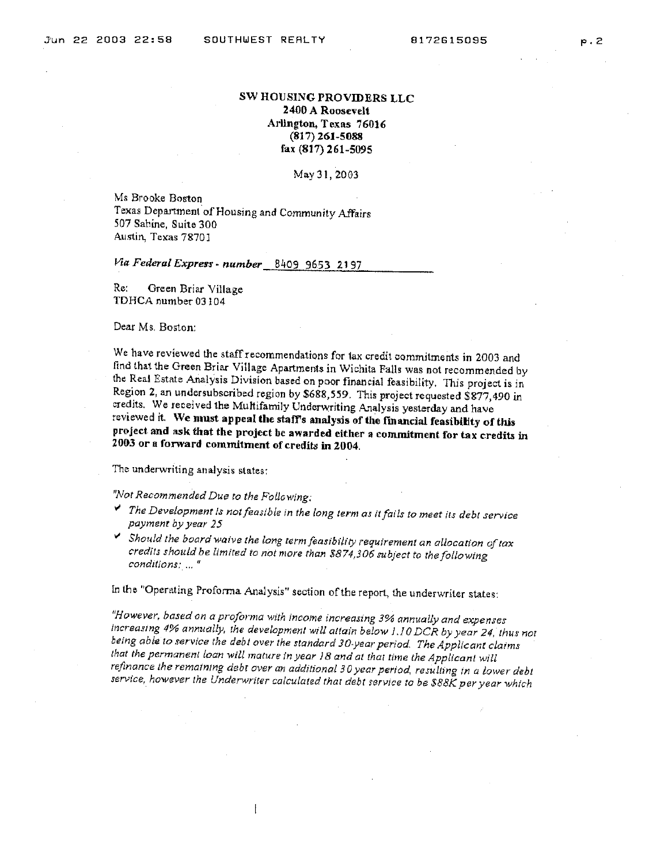#### SW HOUSING PROVIDERS LLC 2400 A Roosevelt Arlington, Texas 76016  $(817)$  261-5088 fax (817) 261-5095

#### May 31, 2003

Ms Brooke Boston Texas Department of Housing and Community Affairs 507 Sabine, Suite 300 Austin, Texas 78701

Via Federal Express - number 8409 9653 2197

Re: Green Briar Village TDHCA number 03104

Dear Ms. Boston:

We have reviewed the staff recommendations for tax credit commitments in 2003 and find that the Green Briar Village Apartments in Wichita Falls was not recommended by the Real Estate Analysis Division based on poor financial feasibility. This project is in Region 2, an undersubscribed region by \$688,559. This project requested \$877,490 in credits. We received the Multifamily Underwriting Analysis yesterday and have reviewed it. We must appeal the staff's analysis of the financial feasibility of this project and ask that the project be awarded either a commitment for tax credits in 2003 or a forward commitment of credits in 2004.

The underwriting analysis states:

"Not Recommended Due to the Following:

- The Development is not feasible in the long term as it fails to meet its debt service payment by year 25
- Should the board waive the long term feasibility requirement an allocation of tax credits should be limited to not more than \$874,306 subject to the following conditions; ..."

In the "Operating Proforma Analysis" section of the report, the underwriter states:

 $\overline{1}$ 

"However, based on a proforma with income increasing 3% annually and expenses increasing 4% annually, the development will attain below 1.10 DCR by year 24, thus not being able to service the debt over the standard 30-year period. The Applicant claims that the permanent loan will mature in year 18 and at that time the Applicant will refinance the remaining debt over an additional 30 year period, resulting in a lower debt service, however the Underwriter calculated that debt service to be \$88K per year which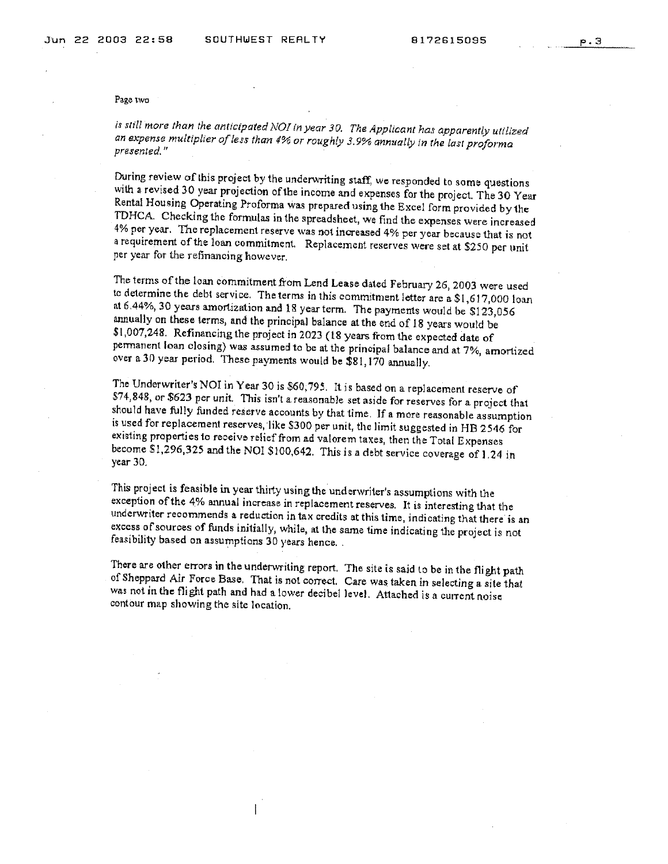#### Page two

is still more than the anticipated NOI in year 30. The Applicant has apparently utilized an expense multiplier of less than 4% or roughly 3.9% annually in the last proforma presented."

During review of this project by the underwriting staff, we responded to some questions with a revised 30 year projection of the income and expenses for the project. The 30 Year Rental Housing Operating Proforma was prepared using the Excel form provided by the TDHCA. Checking the formulas in the spreadsheet, we find the expenses were increased 4% per year. The replacement reserve was not increased 4% per year because that is not a requirement of the loan commitment. Replacement reserves were set at \$250 per unit per year for the refinancing however.

The terms of the loan commitment from Lend Lease dated February 26, 2003 were used to determine the debt service. The terms in this commitment letter are a \$1,617,000 loan at 6.44%, 30 years amortization and 18 year term. The payments would be \$123,056 annually on these terms, and the principal balance at the end of 18 years would be \$1,007,248. Refinancing the project in 2023 (18 years from the expected date of permanent loan closing) was assumed to be at the principal balance and at 7%, amortized over a 30 year period. These payments would be \$81,170 annually.

The Underwriter's NOI in Year 30 is \$60,795. It is based on a replacement reserve of \$74,848, or \$623 per unit. This isn't a reasonable set aside for reserves for a project that should have fully funded reserve accounts by that time. If a more reasonable assumption is used for replacement reserves, like \$300 per unit, the limit suggested in HB 2546 for existing properties to receive relief from ad valorem taxes, then the Total Expenses become \$1,296,325 and the NOI \$100,642. This is a debt service coverage of 1.24 in year 30.

This project is feasible in year thirty using the underwriter's assumptions with the exception of the 4% annual increase in replacement reserves. It is interesting that the underwriter recommends a reduction in tax credits at this time, indicating that there is an excess of sources of funds initially, while, at the same time indicating the project is not feasibility based on assumptions 30 years hence.

There are other errors in the underwriting report. The site is said to be in the flight path of Sheppard Air Force Base. That is not correct. Care was taken in selecting a site that was not in the flight path and had a lower decibel level. Attached is a current noise contour map showing the site location.

ł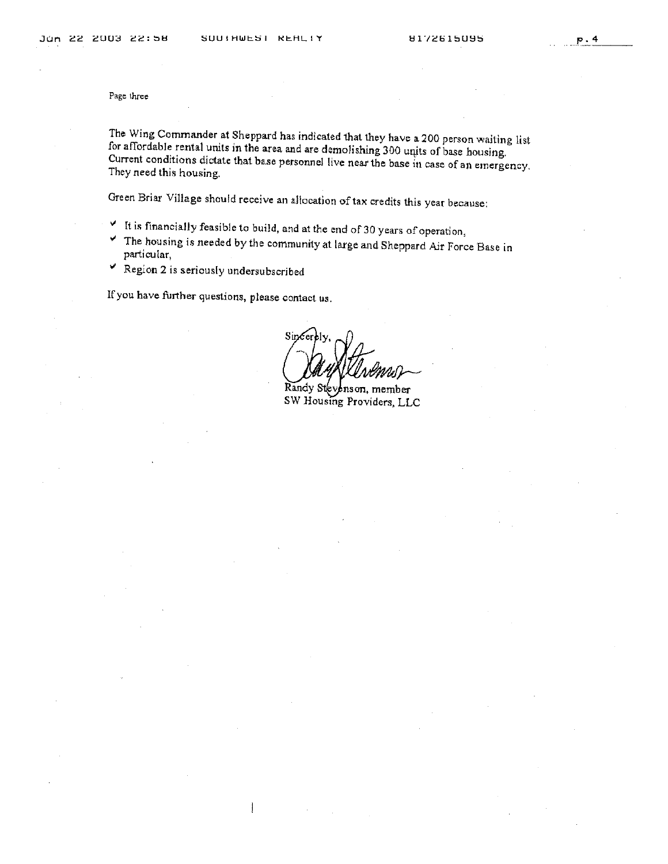Page three

The Wing Commander at Sheppard has indicated that they have a 200 person waiting list for affordable rental units in the area and are demolishing 300 units of base housing. Current conditions dictate that base personnel live near the base in case of an emergency. They need this housing.

Green Briar Village should receive an allocation of tax credits this year because:

- It is financially feasible to build, and at the end of 30 years of operation,
- The housing is needed by the community at large and Sheppard Air Force Base in ٧ particular,
- P Region 2 is seriously undersubscribed

If you have further questions, please contact us.

Si

Randy Steve nson, member SW Housing Providers, LLC